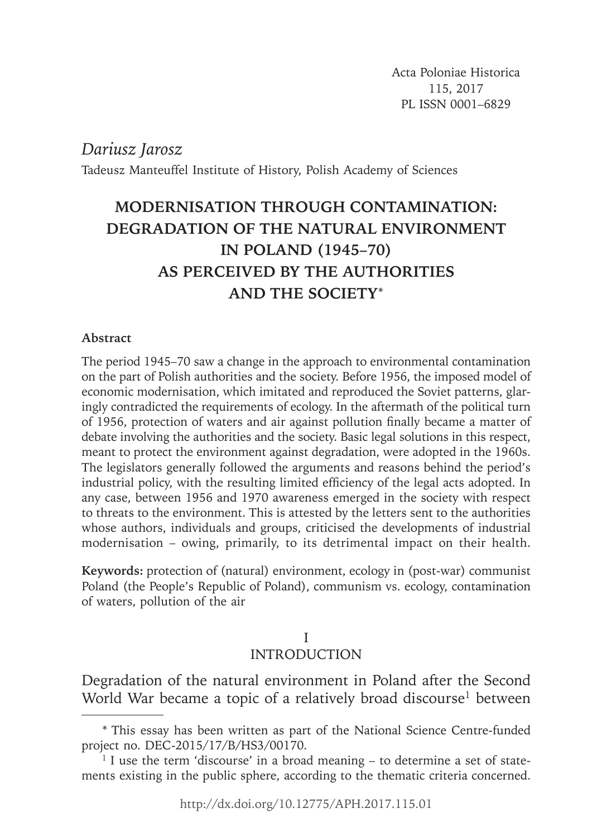*Dariusz Jarosz*

Tadeusz Manteuffel Institute of History, Polish Academy of Sciences

# **MODERNISATION THROUGH CONTAMINATION: DEGRADATION OF THE NATURAL ENVIRONMENT IN POLAND (1945–70) AS PERCEIVED BY THE AUTHORITIES AND THE SOCIETY**\*

## **Abstract**

The period 1945–70 saw a change in the approach to environmental contamination on the part of Polish authorities and the society. Before 1956, the imposed model of economic modernisation, which imitated and reproduced the Soviet patterns, glaringly contradicted the requirements of ecology. In the aftermath of the political turn of 1956, protection of waters and air against pollution finally became a matter of debate involving the authorities and the society. Basic legal solutions in this respect, meant to protect the environment against degradation, were adopted in the 1960s. The legislators generally followed the arguments and reasons behind the period's industrial policy, with the resulting limited efficiency of the legal acts adopted. In any case, between 1956 and 1970 awareness emerged in the society with respect to threats to the environment. This is attested by the letters sent to the authorities whose authors, individuals and groups, criticised the developments of industrial modernisation – owing, primarily, to its detrimental impact on their health.

**Keywords:** protection of (natural) environment, ecology in (post-war) communist Poland (the People's Republic of Poland), communism vs. ecology, contamination of waters, pollution of the air

# I

## INTRODUCTION

Degradation of the natural environment in Poland after the Second World War became a topic of a relatively broad discourse<sup>1</sup> between

<sup>\*</sup> This essay has been written as part of the National Science Centre-funded project no. DEC-2015/17/B/HS3/00170.

 $1$  I use the term 'discourse' in a broad meaning  $-$  to determine a set of statements existing in the public sphere, according to the thematic criteria concerned.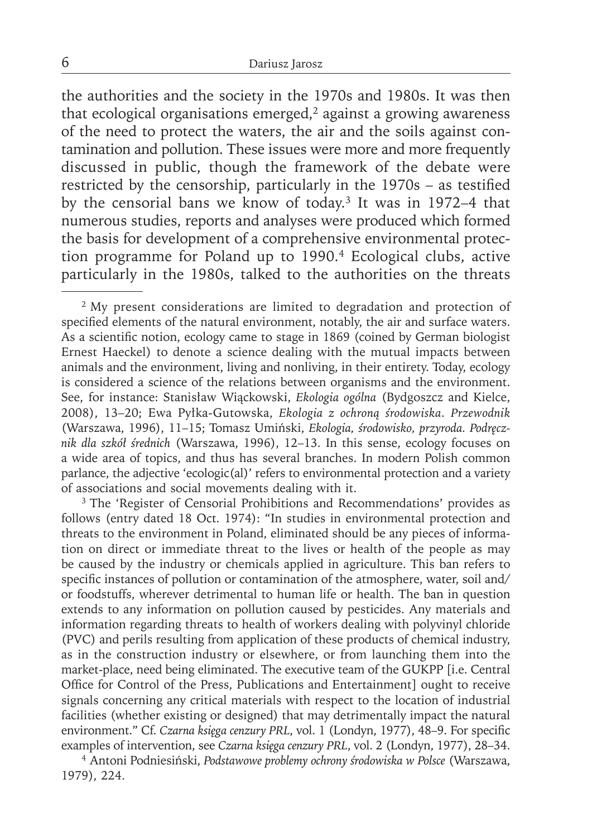the authorities and the society in the 1970s and 1980s. It was then that ecological organisations emerged, $2$  against a growing awareness of the need to protect the waters, the air and the soils against contamination and pollution. These issues were more and more frequently discussed in public, though the framework of the debate were restricted by the censorship, particularly in the  $1970s$  – as testified by the censorial bans we know of today.3 It was in 1972–4 that numerous studies, reports and analyses were produced which formed the basis for development of a comprehensive environmental protection programme for Poland up to 1990.4 Ecological clubs, active particularly in the 1980s, talked to the authorities on the threats

<sup>2</sup> My present considerations are limited to degradation and protection of specified elements of the natural environment, notably, the air and surface waters. As a scientific notion, ecology came to stage in 1869 (coined by German biologist Ernest Haeckel) to denote a science dealing with the mutual impacts between animals and the environment, living and nonliving, in their entirety. Today, ecology is considered a science of the relations between organisms and the environment. See, for instance: Stanisław Wiąckowski, *Ekologia ogólna* (Bydgoszcz and Kielce, 2008), 13–20; Ewa Pyłka-Gutowska, *Ekologia z ochroną środowiska*. *Przewodnik* (Warszawa, 1996), 11–15; Tomasz Umiński, *Ekologia, środowisko, przyroda. Podręcznik dla szkół średnich* (Warszawa, 1996), 12–13. In this sense, ecology focuses on a wide area of topics, and thus has several branches. In modern Polish common parlance, the adjective 'ecologic(al)' refers to environmental protection and a variety of associations and social movements dealing with it.

<sup>3</sup> The 'Register of Censorial Prohibitions and Recommendations' provides as follows (entry dated 18 Oct. 1974): "In studies in environmental protection and threats to the environment in Poland, eliminated should be any pieces of information on direct or immediate threat to the lives or health of the people as may be caused by the industry or chemicals applied in agriculture. This ban refers to specific instances of pollution or contamination of the atmosphere, water, soil and/ or foodstuffs, wherever detrimental to human life or health. The ban in question extends to any information on pollution caused by pesticides. Any materials and information regarding threats to health of workers dealing with polyvinyl chloride (PVC) and perils resulting from application of these products of chemical industry, as in the construction industry or elsewhere, or from launching them into the market-place, need being eliminated. The executive team of the GUKPP [i.e. Central Office for Control of the Press, Publications and Entertainment] ought to receive signals concerning any critical materials with respect to the location of industrial facilities (whether existing or designed) that may detrimentally impact the natural environment." Cf. Czarna księga cenzury PRL, vol. 1 (Londyn, 1977), 48-9. For specific examples of intervention, see *Czarna księga cenzury PRL*, vol. 2 (Londyn, 1977), 28–34.

4 Antoni Podniesiński, *Podstawowe problemy ochrony środowiska w Polsce* (Warszawa, 1979), 224.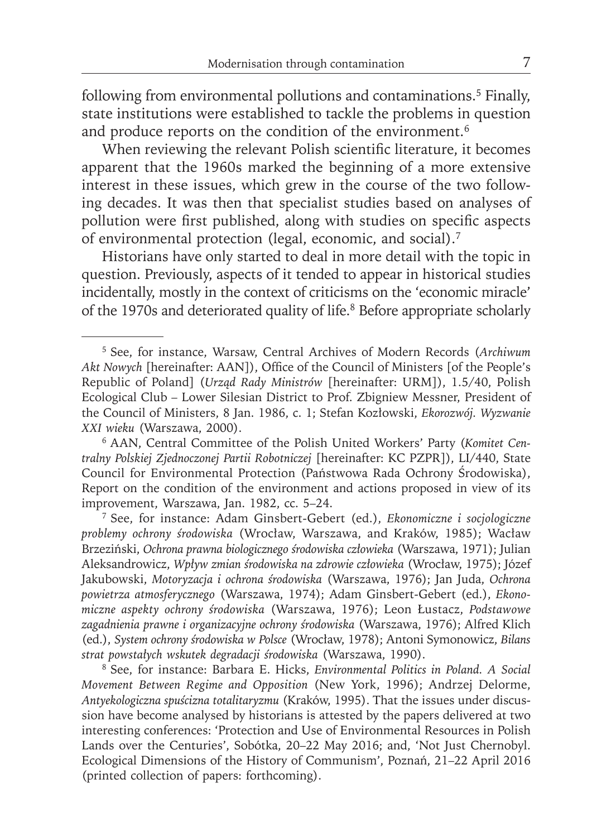following from environmental pollutions and contaminations.5 Finally, state institutions were established to tackle the problems in question and produce reports on the condition of the environment.<sup>6</sup>

When reviewing the relevant Polish scientific literature, it becomes apparent that the 1960s marked the beginning of a more extensive interest in these issues, which grew in the course of the two following decades. It was then that specialist studies based on analyses of pollution were first published, along with studies on specific aspects of environmental protection (legal, economic, and social).7

Historians have only started to deal in more detail with the topic in question. Previously, aspects of it tended to appear in historical studies incidentally, mostly in the context of criticisms on the 'economic miracle' of the 1970s and deteriorated quality of life.<sup>8</sup> Before appropriate scholarly

7 See, for instance: Adam Ginsbert-Gebert (ed.), *Ekonomiczne i socjologiczne problemy ochrony środowiska* (Wrocław, Warszawa, and Kraków, 1985); Wacław Brzeziński, *Ochrona prawna biologicznego środowiska człowieka* (Warszawa, 1971); Julian Aleksandrowicz, *Wpływ zmian środowiska na zdrowie człowieka* (Wrocław, 1975); Józef Jakubowski, *Motoryzacja i ochrona środowiska* (Warszawa, 1976); Jan Juda, *Ochrona powietrza atmosferycznego* (Warszawa, 1974); Adam Ginsbert-Gebert (ed.), *Ekonomiczne aspekty ochrony środowiska* (Warszawa, 1976); Leon Łustacz, *Podstawowe zagadnienia prawne i organizacyjne ochrony środowiska* (Warszawa, 1976); Alfred Klich (ed.), *System ochrony środowiska w Polsce* (Wrocław, 1978); Antoni Symonowicz, *Bilans strat powstałych wskutek degradacji środowiska* (Warszawa, 1990).

8 See, for instance: Barbara E. Hicks, *Environmental Politics in Poland. A Social Movement Between Regime and Opposition* (New York, 1996); Andrzej Delorme, *Antyekologiczna spuścizna totalitaryzmu* (Kraków, 1995). That the issues under discussion have become analysed by historians is attested by the papers delivered at two interesting conferences: 'Protection and Use of Environmental Resources in Polish Lands over the Centuries', Sobótka, 20–22 May 2016; and, 'Not Just Chernobyl. Ecological Dimensions of the History of Communism', Poznań, 21–22 April 2016 (printed collection of papers: forthcoming).

<sup>5</sup> See, for instance, Warsaw, Central Archives of Modern Records (*Archiwum*  Akt Nowych [hereinafter: AAN]), Office of the Council of Ministers [of the People's Republic of Poland] (*Urząd Rady Ministrów* [hereinafter: URM]), 1.5/40, Polish Ecological Club – Lower Silesian District to Prof. Zbigniew Messner, President of the Council of Ministers, 8 Jan. 1986, c. 1; Stefan Kozłowski, *Ekorozwój. Wyzwanie XXI wieku* (Warszawa, 2000).

<sup>6</sup> AAN, Central Committee of the Polish United Workers' Party (*Komitet Centralny Polskiej Zjednoczonej Partii Robotniczej* [hereinafter: KC PZPR]), LI/440, State Council for Environmental Protection (Państwowa Rada Ochrony Środowiska), Report on the condition of the environment and actions proposed in view of its improvement, Warszawa, Jan. 1982, cc. 5–24.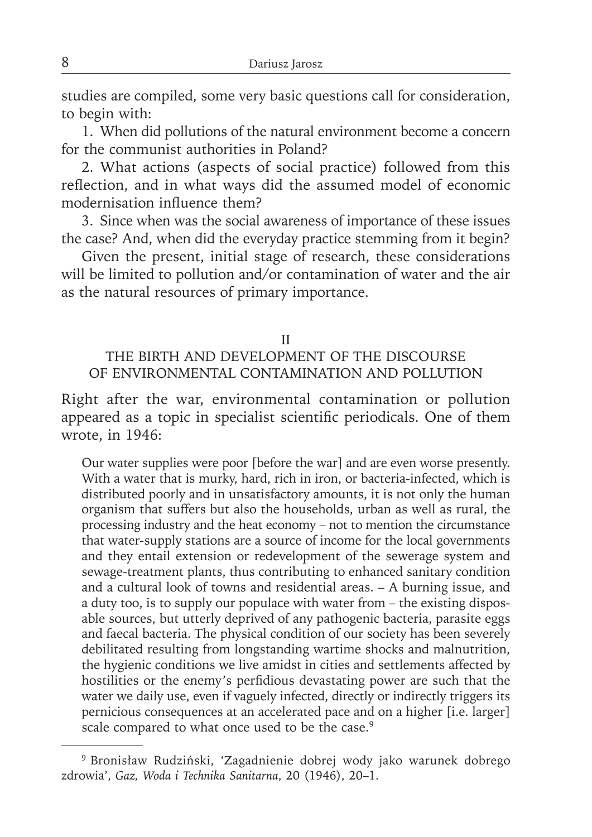studies are compiled, some very basic questions call for consideration, to begin with:

1. When did pollutions of the natural environment become a concern for the communist authorities in Poland?

2. What actions (aspects of social practice) followed from this reflection, and in what ways did the assumed model of economic modernisation influence them?

3. Since when was the social awareness of importance of these issues the case? And, when did the everyday practice stemming from it begin?

Given the present, initial stage of research, these considerations will be limited to pollution and/or contamination of water and the air as the natural resources of primary importance.

#### II

## THE BIRTH AND DEVELOPMENT OF THE DISCOURSE OF ENVIRONMENTAL CONTAMINATION AND POLLUTION

Right after the war, environmental contamination or pollution appeared as a topic in specialist scientific periodicals. One of them wrote, in 1946:

Our water supplies were poor [before the war] and are even worse presently. With a water that is murky, hard, rich in iron, or bacteria-infected, which is distributed poorly and in unsatisfactory amounts, it is not only the human organism that suffers but also the households, urban as well as rural, the processing industry and the heat economy – not to mention the circumstance that water-supply stations are a source of income for the local governments and they entail extension or redevelopment of the sewerage system and sewage-treatment plants, thus contributing to enhanced sanitary condition and a cultural look of towns and residential areas. – A burning issue, and a duty too, is to supply our populace with water from – the existing disposable sources, but utterly deprived of any pathogenic bacteria, parasite eggs and faecal bacteria. The physical condition of our society has been severely debilitated resulting from longstanding wartime shocks and malnutrition, the hygienic conditions we live amidst in cities and settlements affected by hostilities or the enemy's perfidious devastating power are such that the water we daily use, even if vaguely infected, directly or indirectly triggers its pernicious consequences at an accelerated pace and on a higher [i.e. larger] scale compared to what once used to be the case.<sup>9</sup>

<sup>9</sup> Bronisław Rudziński, 'Zagadnienie dobrej wody jako warunek dobrego zdrowia', *Gaz, Woda i Technika Sanitarna*, 20 (1946), 20–1.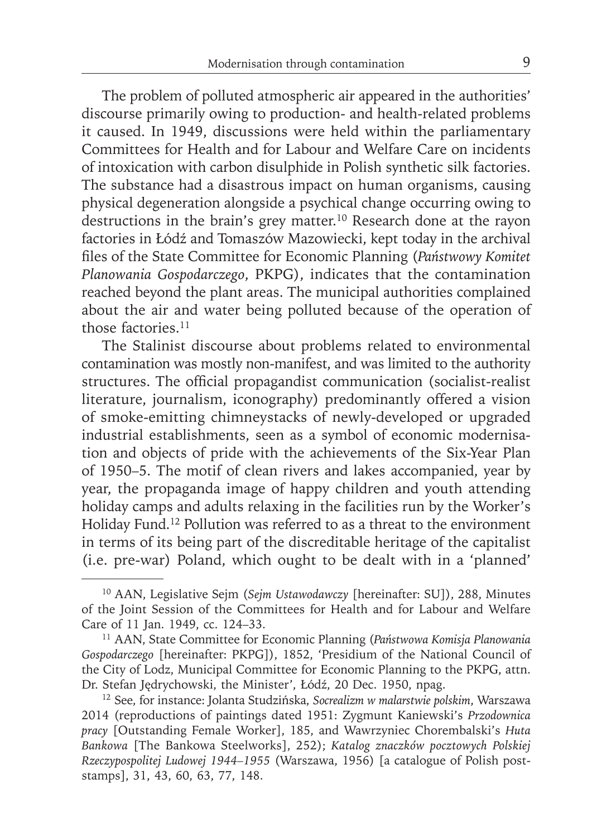The problem of polluted atmospheric air appeared in the authorities' discourse primarily owing to production- and health-related problems it caused. In 1949, discussions were held within the parliamentary Committees for Health and for Labour and Welfare Care on incidents of intoxication with carbon disulphide in Polish synthetic silk factories. The substance had a disastrous impact on human organisms, causing physical degeneration alongside a psychical change occurring owing to destructions in the brain's grey matter.<sup>10</sup> Research done at the rayon factories in Łódź and Tomaszów Mazowiecki, kept today in the archival fi les of the State Committee for Economic Planning (*Państwowy Komitet Planowania Gospodarczego*, PKPG), indicates that the contamination reached beyond the plant areas. The municipal authorities complained about the air and water being polluted because of the operation of those factories.<sup>11</sup>

The Stalinist discourse about problems related to environmental contamination was mostly non-manifest, and was limited to the authority structures. The official propagandist communication (socialist-realist literature, journalism, iconography) predominantly offered a vision of smoke-emitting chimneystacks of newly-developed or upgraded industrial establishments, seen as a symbol of economic modernisation and objects of pride with the achievements of the Six-Year Plan of 1950–5. The motif of clean rivers and lakes accompanied, year by year, the propaganda image of happy children and youth attending holiday camps and adults relaxing in the facilities run by the Worker's Holiday Fund.12 Pollution was referred to as a threat to the environment in terms of its being part of the discreditable heritage of the capitalist (i.e. pre-war) Poland, which ought to be dealt with in a 'planned'

<sup>10</sup> AAN, Legislative Sejm (*Sejm Ustawodawczy* [hereinafter: SU]), 288, Minutes of the Joint Session of the Committees for Health and for Labour and Welfare Care of 11 Jan. 1949, cc. 124–33.

<sup>11</sup> AAN, State Committee for Economic Planning (*Państwowa Komisja Planowania Gospodarczego* [hereinafter: PKPG]), 1852, 'Presidium of the National Council of the City of Lodz, Municipal Committee for Economic Planning to the PKPG, attn. Dr. Stefan Jędrychowski, the Minister', Łódź, 20 Dec. 1950, npag.

<sup>12</sup> See, for instance: Jolanta Studzińska, *Socrealizm w malarstwie polskim*, Warszawa 2014 (reproductions of paintings dated 1951: Zygmunt Kaniewski's *Przodownica pracy* [Outstanding Female Worker], 185, and Wawrzyniec Chorembalski's *Huta Bankowa* [The Bankowa Steelworks], 252); *Katalog znaczków pocztowych Polskiej Rzeczypospolitej Ludowej 1944–1955* (Warszawa, 1956) [a catalogue of Polish poststamps], 31, 43, 60, 63, 77, 148.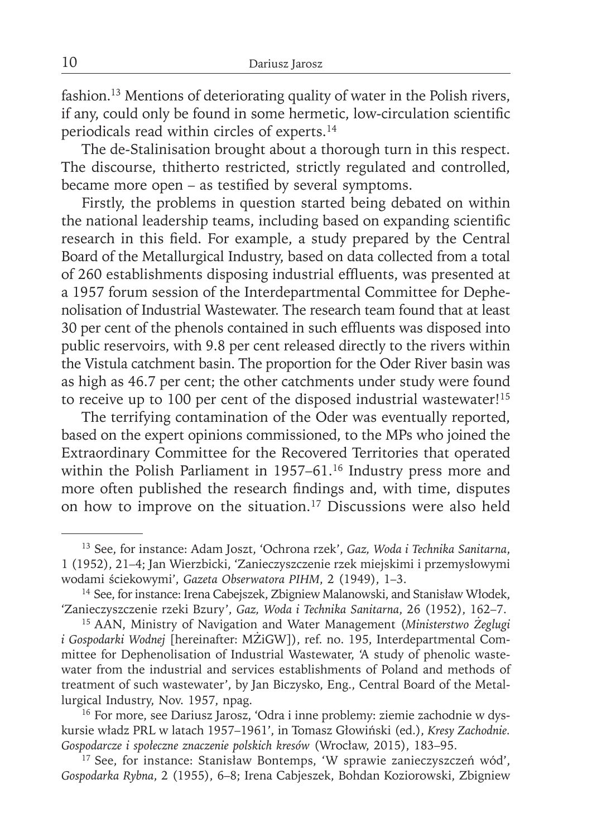fashion.<sup>13</sup> Mentions of deteriorating quality of water in the Polish rivers, if any, could only be found in some hermetic, low-circulation scientific periodicals read within circles of experts.14

The de-Stalinisation brought about a thorough turn in this respect. The discourse, thitherto restricted, strictly regulated and controlled, became more open – as testified by several symptoms.

Firstly, the problems in question started being debated on within the national leadership teams, including based on expanding scientific research in this field. For example, a study prepared by the Central Board of the Metallurgical Industry, based on data collected from a total of 260 establishments disposing industrial effluents, was presented at a 1957 forum session of the Interdepartmental Committee for Dephenolisation of Industrial Wastewater. The research team found that at least 30 per cent of the phenols contained in such effluents was disposed into public reservoirs, with 9.8 per cent released directly to the rivers within the Vistula catchment basin. The proportion for the Oder River basin was as high as 46.7 per cent; the other catchments under study were found to receive up to 100 per cent of the disposed industrial wastewater!<sup>15</sup>

The terrifying contamination of the Oder was eventually reported, based on the expert opinions commissioned, to the MPs who joined the Extraordinary Committee for the Recovered Territories that operated within the Polish Parliament in 1957-61.<sup>16</sup> Industry press more and more often published the research findings and, with time, disputes on how to improve on the situation.17 Discussions were also held

17 See, for instance: Stanisław Bontemps, 'W sprawie zanieczyszczeń wód', *Gospodarka Rybna*, 2 (1955), 6–8; Irena Cabjeszek, Bohdan Koziorowski, Zbigniew

<sup>13</sup> See, for instance: Adam Joszt, 'Ochrona rzek', *Gaz, Woda i Technika Sanitarna*, 1 (1952), 21–4; Jan Wierzbicki, 'Zanieczyszczenie rzek miejskimi i przemysłowymi wodami ściekowymi', *Gazeta Obserwatora PIHM*, 2 (1949), 1–3.

<sup>&</sup>lt;sup>14</sup> See, for instance: Irena Cabejszek, Zbigniew Malanowski, and Stanisław Włodek, 'Zanieczyszczenie rzeki Bzury', *Gaz, Woda i Technika Sanitarna*, 26 (1952), 162–7.

<sup>15</sup> AAN, Ministry of Navigation and Water Management (*Ministerstwo Żeglugi i Gospodarki Wodnej* [hereinafter: MŻiGW]), ref. no. 195, Interdepartmental Committee for Dephenolisation of Industrial Wastewater, 'A study of phenolic wastewater from the industrial and services establishments of Poland and methods of treatment of such wastewater', by Jan Biczysko, Eng., Central Board of the Metallurgical Industry, Nov. 1957, npag.

<sup>16</sup> For more, see Dariusz Jarosz, 'Odra i inne problemy: ziemie zachodnie w dyskursie władz PRL w latach 1957–1961', in Tomasz Głowiński (ed.), *Kresy Zachodnie. Gospodarcze i społeczne znaczenie polskich kresów* (Wrocław, 2015), 183–95.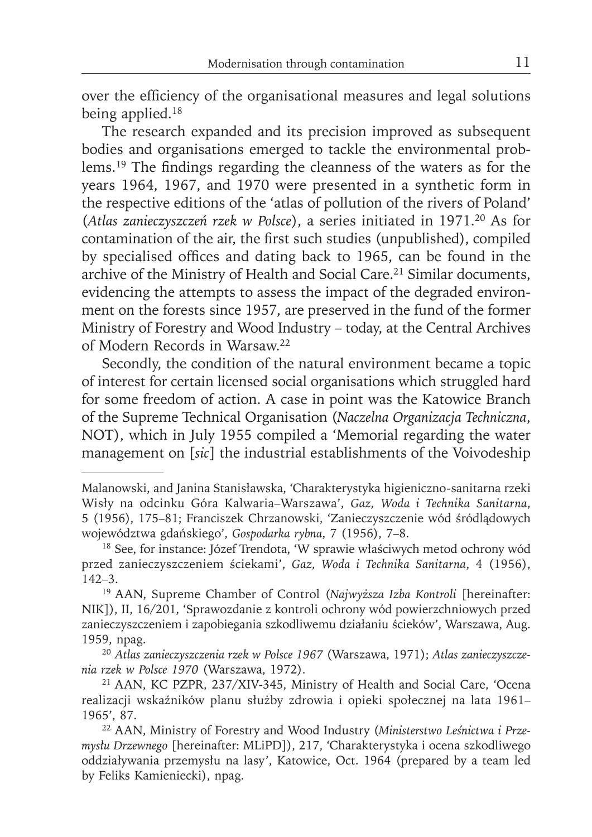over the efficiency of the organisational measures and legal solutions being applied.<sup>18</sup>

The research expanded and its precision improved as subsequent bodies and organisations emerged to tackle the environmental problems.<sup>19</sup> The findings regarding the cleanness of the waters as for the years 1964, 1967, and 1970 were presented in a synthetic form in the respective editions of the 'atlas of pollution of the rivers of Poland' (*Atlas zanieczyszczeń rzek w Polsce*), a series initiated in 1971.20 As for contamination of the air, the first such studies (unpublished), compiled by specialised offices and dating back to 1965, can be found in the archive of the Ministry of Health and Social Care.<sup>21</sup> Similar documents, evidencing the attempts to assess the impact of the degraded environment on the forests since 1957, are preserved in the fund of the former Ministry of Forestry and Wood Industry – today, at the Central Archives of Modern Records in Warsaw.22

Secondly, the condition of the natural environment became a topic of interest for certain licensed social organisations which struggled hard for some freedom of action. A case in point was the Katowice Branch of the Supreme Technical Organisation (*Naczelna Organizacja Techniczna*, NOT), which in July 1955 compiled a 'Memorial regarding the water management on [*sic*] the industrial establishments of the Voivodeship

Malanowski, and Janina Stanisławska, 'Charakterystyka higieniczno-sanitarna rzeki Wisły na odcinku Góra Kalwaria–Warszawa', *Gaz, Woda i Technika Sanitarna*, 5 (1956), 175–81; Franciszek Chrzanowski, 'Zanieczyszczenie wód śródlądowych województwa gdańskiego', *Gospodarka rybna*, 7 (1956), 7–8.

<sup>&</sup>lt;sup>18</sup> See, for instance: Józef Trendota, 'W sprawie właściwych metod ochrony wód przed zanieczyszczeniem ściekami', *Gaz, Woda i Technika Sanitarna*, 4 (1956), 142–3.

<sup>19</sup> AAN, Supreme Chamber of Control (*Najwyższa Izba Kontroli* [hereinafter: NIK]), II, 16/201, 'Sprawozdanie z kontroli ochrony wód powierzchniowych przed zanieczyszczeniem i zapobiegania szkodliwemu działaniu ścieków', Warszawa, Aug. 1959, npag.

<sup>20</sup> *Atlas zanieczyszczenia rzek w Polsce 1967* (Warszawa, 1971); *Atlas zanieczyszczenia rzek w Polsce 1970* (Warszawa, 1972).

<sup>21</sup> AAN, KC PZPR, 237/XIV-345, Ministry of Health and Social Care, 'Ocena realizacji wskaźników planu służby zdrowia i opieki społecznej na lata 1961– 1965', 87.

<sup>22</sup> AAN, Ministry of Forestry and Wood Industry (*Ministerstwo Leśnictwa i Przemysłu Drzewnego* [hereinafter: MLiPD]), 217, 'Charakterystyka i ocena szkodliwego oddziaływania przemysłu na lasy', Katowice, Oct. 1964 (prepared by a team led by Feliks Kamieniecki), npag.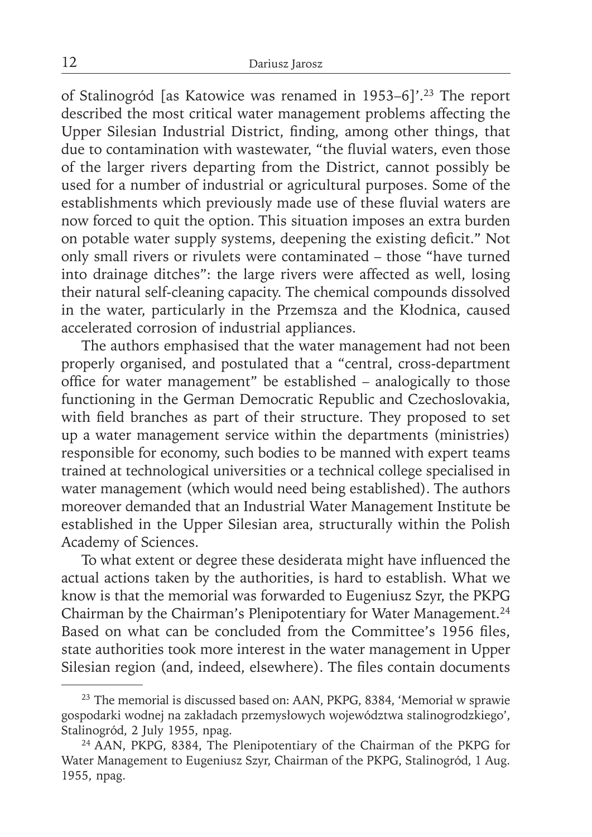of Stalinogród [as Katowice was renamed in 1953–6]'.23 The report described the most critical water management problems affecting the Upper Silesian Industrial District, finding, among other things, that due to contamination with wastewater, "the fluvial waters, even those of the larger rivers departing from the District, cannot possibly be used for a number of industrial or agricultural purposes. Some of the establishments which previously made use of these fluvial waters are now forced to quit the option. This situation imposes an extra burden on potable water supply systems, deepening the existing deficit." Not only small rivers or rivulets were contaminated – those "have turned into drainage ditches": the large rivers were affected as well, losing their natural self-cleaning capacity. The chemical compounds dissolved in the water, particularly in the Przemsza and the Kłodnica, caused accelerated corrosion of industrial appliances.

The authors emphasised that the water management had not been properly organised, and postulated that a "central, cross-department office for water management" be established – analogically to those functioning in the German Democratic Republic and Czechoslovakia, with field branches as part of their structure. They proposed to set up a water management service within the departments (ministries) responsible for economy, such bodies to be manned with expert teams trained at technological universities or a technical college specialised in water management (which would need being established). The authors moreover demanded that an Industrial Water Management Institute be established in the Upper Silesian area, structurally within the Polish Academy of Sciences.

To what extent or degree these desiderata might have influenced the actual actions taken by the authorities, is hard to establish. What we know is that the memorial was forwarded to Eugeniusz Szyr, the PKPG Chairman by the Chairman's Plenipotentiary for Water Management.<sup>24</sup> Based on what can be concluded from the Committee's 1956 files, state authorities took more interest in the water management in Upper Silesian region (and, indeed, elsewhere). The files contain documents

<sup>23</sup> The memorial is discussed based on: AAN, PKPG, 8384, 'Memoriał w sprawie gospodarki wodnej na zakładach przemysłowych województwa stalinogrodzkiego', Stalinogród, 2 July 1955, npag.

<sup>24</sup> AAN, PKPG, 8384, The Plenipotentiary of the Chairman of the PKPG for Water Management to Eugeniusz Szyr, Chairman of the PKPG, Stalinogród, 1 Aug. 1955, npag.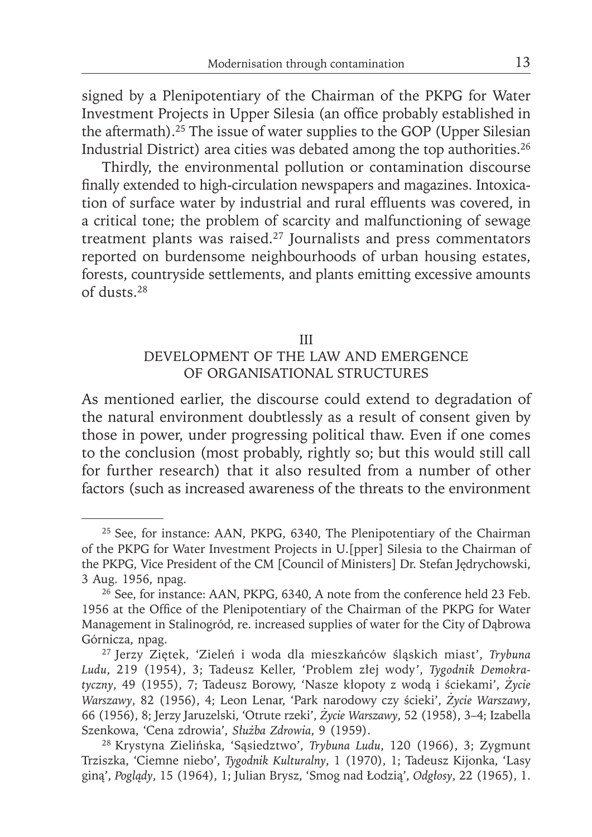signed by a Plenipotentiary of the Chairman of the PKPG for Water Investment Projects in Upper Silesia (an office probably established in the aftermath).<sup>25</sup> The issue of water supplies to the GOP (Upper Silesian Industrial District) area cities was debated among the top authorities.26

Thirdly, the environmental pollution or contamination discourse finally extended to high-circulation newspapers and magazines. Intoxication of surface water by industrial and rural effluents was covered, in a critical tone; the problem of scarcity and malfunctioning of sewage treatment plants was raised.27 Journalists and press commentators reported on burdensome neighbourhoods of urban housing estates, forests, countryside settlements, and plants emitting excessive amounts of dusts.28

#### III

## DEVELOPMENT OF THE LAW AND EMERGENCE OF ORGANISATIONAL STRUCTURES

As mentioned earlier, the discourse could extend to degradation of the natural environment doubtlessly as a result of consent given by those in power, under progressing political thaw. Even if one comes to the conclusion (most probably, rightly so; but this would still call for further research) that it also resulted from a number of other factors (such as increased awareness of the threats to the environment

<sup>&</sup>lt;sup>25</sup> See, for instance: AAN, PKPG, 6340, The Plenipotentiary of the Chairman of the PKPG for Water Investment Projects in U.[pper] Silesia to the Chairman of the PKPG, Vice President of the CM [Council of Ministers] Dr. Stefan Jędrychowski, 3 Aug. 1956, npag.

<sup>&</sup>lt;sup>26</sup> See, for instance: AAN, PKPG, 6340, A note from the conference held 23 Feb. 1956 at the Office of the Plenipotentiary of the Chairman of the PKPG for Water Management in Stalinogród, re. increased supplies of water for the City of Dąbrowa Górnicza, npag.

<sup>27</sup> Jerzy Ziętek, 'Zieleń i woda dla mieszkańców śląskich miast', *Trybuna Ludu*, 219 (1954), 3; Tadeusz Keller, 'Problem złej wody', *Tygodnik Demokratyczny*, 49 (1955), 7; Tadeusz Borowy, 'Nasze kłopoty z wodą i ściekami', *Życie Warszawy*, 82 (1956), 4; Leon Lenar, 'Park narodowy czy ścieki', *Życie Warszawy*, 66 (1956), 8; Jerzy Jaruzelski, 'Otrute rzeki', *Życie Warszawy*, 52 (1958), 3–4; Izabella Szenkowa, 'Cena zdrowia', *Służba Zdrowia*, 9 (1959).

<sup>28</sup> Krystyna Zielińska, 'Sąsiedztwo', *Trybuna Ludu*, 120 (1966), 3; Zygmunt Trziszka, 'Ciemne niebo', *Tygodnik Kulturalny*, 1 (1970), 1; Tadeusz Kijonka, 'Lasy giną', *Poglądy*, 15 (1964), 1; Julian Brysz, 'Smog nad Łodzią', *Odgłosy*, 22 (1965), 1.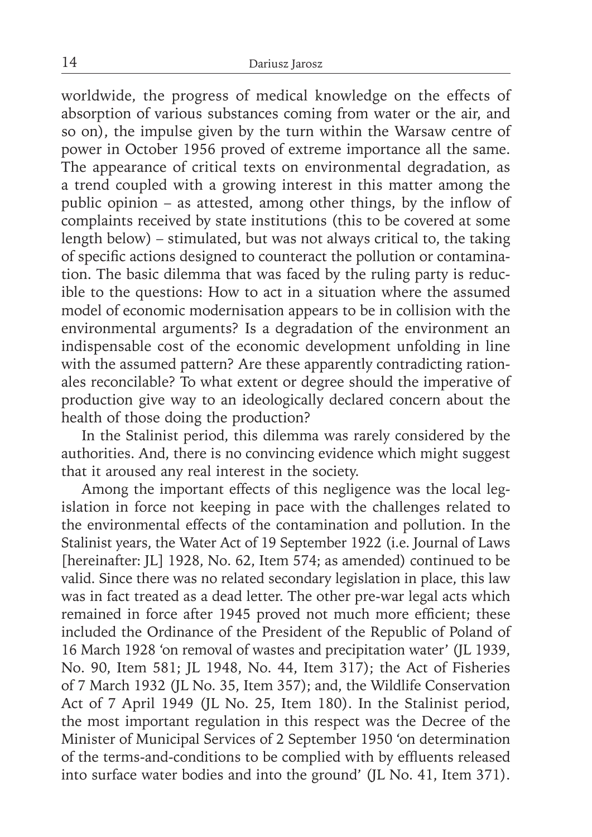worldwide, the progress of medical knowledge on the effects of absorption of various substances coming from water or the air, and so on), the impulse given by the turn within the Warsaw centre of power in October 1956 proved of extreme importance all the same. The appearance of critical texts on environmental degradation, as a trend coupled with a growing interest in this matter among the public opinion – as attested, among other things, by the inflow of complaints received by state institutions (this to be covered at some length below) – stimulated, but was not always critical to, the taking of specific actions designed to counteract the pollution or contamination. The basic dilemma that was faced by the ruling party is reducible to the questions: How to act in a situation where the assumed model of economic modernisation appears to be in collision with the environmental arguments? Is a degradation of the environment an indispensable cost of the economic development unfolding in line with the assumed pattern? Are these apparently contradicting rationales reconcilable? To what extent or degree should the imperative of production give way to an ideologically declared concern about the health of those doing the production?

In the Stalinist period, this dilemma was rarely considered by the authorities. And, there is no convincing evidence which might suggest that it aroused any real interest in the society.

Among the important effects of this negligence was the local legislation in force not keeping in pace with the challenges related to the environmental effects of the contamination and pollution. In the Stalinist years, the Water Act of 19 September 1922 (i.e. Journal of Laws [hereinafter: JL] 1928, No. 62, Item 574; as amended) continued to be valid. Since there was no related secondary legislation in place, this law was in fact treated as a dead letter. The other pre-war legal acts which remained in force after 1945 proved not much more efficient; these included the Ordinance of the President of the Republic of Poland of 16 March 1928 'on removal of wastes and precipitation water' (JL 1939, No. 90, Item 581; JL 1948, No. 44, Item 317); the Act of Fisheries of 7 March 1932 (JL No. 35, Item 357); and, the Wildlife Conservation Act of 7 April 1949 (JL No. 25, Item 180). In the Stalinist period, the most important regulation in this respect was the Decree of the Minister of Municipal Services of 2 September 1950 'on determination of the terms-and-conditions to be complied with by effluents released into surface water bodies and into the ground' (JL No. 41, Item 371).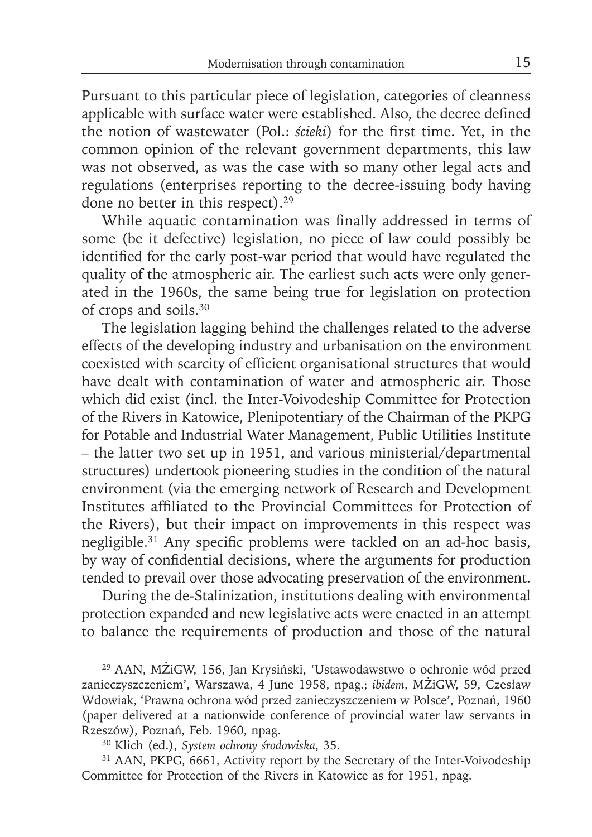Pursuant to this particular piece of legislation, categories of cleanness applicable with surface water were established. Also, the decree defined the notion of wastewater (Pol.: *ścieki*) for the first time. Yet, in the common opinion of the relevant government departments, this law was not observed, as was the case with so many other legal acts and regulations (enterprises reporting to the decree-issuing body having done no better in this respect).29

While aquatic contamination was finally addressed in terms of some (be it defective) legislation, no piece of law could possibly be identified for the early post-war period that would have regulated the quality of the atmospheric air. The earliest such acts were only generated in the 1960s, the same being true for legislation on protection of crops and soils.30

The legislation lagging behind the challenges related to the adverse effects of the developing industry and urbanisation on the environment coexisted with scarcity of efficient organisational structures that would have dealt with contamination of water and atmospheric air. Those which did exist (incl. the Inter-Voivodeship Committee for Protection of the Rivers in Katowice, Plenipotentiary of the Chairman of the PKPG for Potable and Industrial Water Management, Public Utilities Institute – the latter two set up in 1951, and various ministerial/departmental structures) undertook pioneering studies in the condition of the natural environment (via the emerging network of Research and Development Institutes affiliated to the Provincial Committees for Protection of the Rivers), but their impact on improvements in this respect was negligible.<sup>31</sup> Any specific problems were tackled on an ad-hoc basis, by way of confidential decisions, where the arguments for production tended to prevail over those advocating preservation of the environment.

During the de-Stalinization, institutions dealing with environmental protection expanded and new legislative acts were enacted in an attempt to balance the requirements of production and those of the natural

<sup>29</sup> AAN, MŻiGW, 156, Jan Krysiński, 'Ustawodawstwo o ochronie wód przed zanieczyszczeniem', Warszawa, 4 June 1958, npag.; *ibidem*, MŻiGW, 59, Czesław Wdowiak, 'Prawna ochrona wód przed zanieczyszczeniem w Polsce', Poznań, 1960 (paper delivered at a nationwide conference of provincial water law servants in Rzeszów), Poznań, Feb. 1960, npag.

<sup>30</sup> Klich (ed.), *System ochrony środowiska*, 35.

<sup>&</sup>lt;sup>31</sup> AAN, PKPG, 6661, Activity report by the Secretary of the Inter-Voivodeship Committee for Protection of the Rivers in Katowice as for 1951, npag.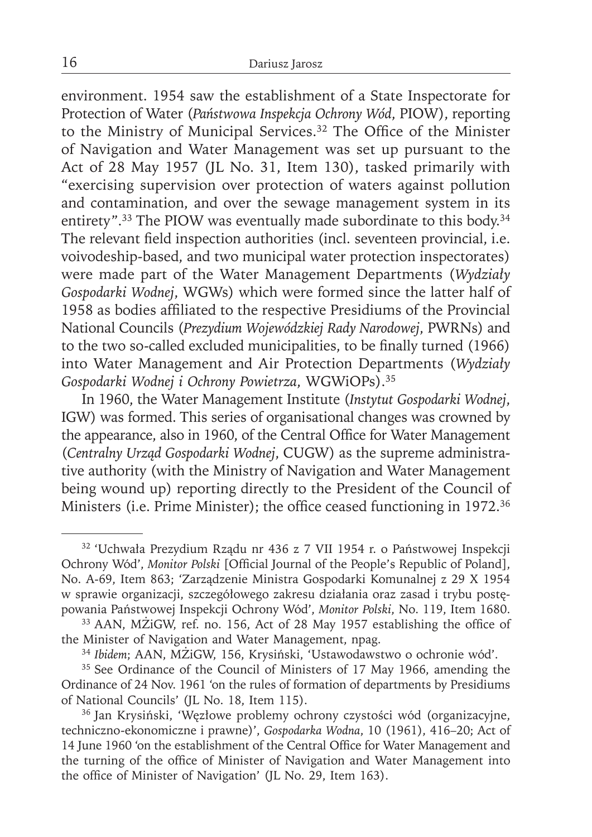environment. 1954 saw the establishment of a State Inspectorate for Protection of Water (*Państwowa Inspekcja Ochrony Wód*, PIOW), reporting to the Ministry of Municipal Services.<sup>32</sup> The Office of the Minister of Navigation and Water Management was set up pursuant to the Act of 28 May 1957 (JL No. 31, Item 130), tasked primarily with "exercising supervision over protection of waters against pollution and contamination, and over the sewage management system in its entirety".<sup>33</sup> The PIOW was eventually made subordinate to this body.<sup>34</sup> The relevant field inspection authorities (incl. seventeen provincial, i.e. voivodeship-based, and two municipal water protection inspectorates) were made part of the Water Management Departments (*Wydziały Gospodarki Wodnej*, WGWs) which were formed since the latter half of 1958 as bodies affiliated to the respective Presidiums of the Provincial National Councils (*Prezydium Wojewódzkiej Rady Narodowej*, PWRNs) and to the two so-called excluded municipalities, to be finally turned (1966) into Water Management and Air Protection Departments (*Wydziały Gospodarki Wodnej i Ochrony Powietrza*, WGWiOPs).35

In 1960, the Water Management Institute (*Instytut Gospodarki Wodnej*, IGW) was formed. This series of organisational changes was crowned by the appearance, also in 1960, of the Central Office for Water Management (*Centralny Urząd Gospodarki Wodnej*, CUGW) as the supreme administrative authority (with the Ministry of Navigation and Water Management being wound up) reporting directly to the President of the Council of Ministers (i.e. Prime Minister); the office ceased functioning in 1972.<sup>36</sup>

<sup>32 &#</sup>x27;Uchwała Prezydium Rządu nr 436 z 7 VII 1954 r. o Państwowej Inspekcji Ochrony Wód', *Monitor Polski* [Official Journal of the People's Republic of Poland], No. A-69, Item 863; 'Zarządzenie Ministra Gospodarki Komunalnej z 29 X 1954 w sprawie organizacji, szczegółowego zakresu działania oraz zasad i trybu postępowania Państwowej Inspekcji Ochrony Wód', *Monitor Polski*, No. 119, Item 1680.

<sup>&</sup>lt;sup>33</sup> AAN, MŻiGW, ref. no. 156, Act of 28 May 1957 establishing the office of the Minister of Navigation and Water Management, npag.

<sup>34</sup>*Ibidem*; AAN, MŻiGW, 156, Krysiński, 'Ustawodawstwo o ochronie wód'.

<sup>&</sup>lt;sup>35</sup> See Ordinance of the Council of Ministers of 17 May 1966, amending the Ordinance of 24 Nov. 1961 'on the rules of formation of departments by Presidiums of National Councils' (JL No. 18, Item 115).

<sup>36</sup> Jan Krysiński, 'Węzłowe problemy ochrony czystości wód (organizacyjne, techniczno-ekonomiczne i prawne)', *Gospodarka Wodna*, 10 (1961), 416–20; Act of 14 June 1960 'on the establishment of the Central Office for Water Management and the turning of the office of Minister of Navigation and Water Management into the office of Minister of Navigation' (JL No. 29, Item 163).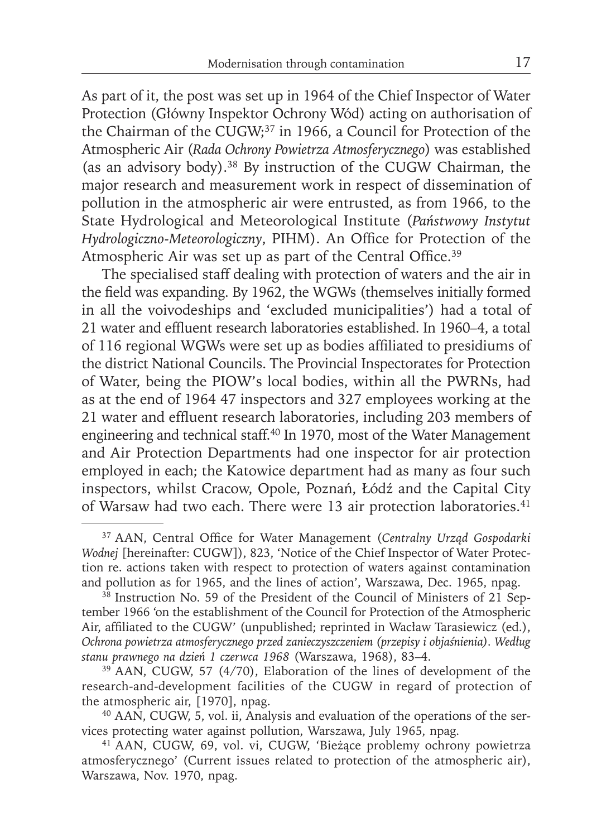As part of it, the post was set up in 1964 of the Chief Inspector of Water Protection (Główny Inspektor Ochrony Wód) acting on authorisation of the Chairman of the CUGW;37 in 1966, a Council for Protection of the Atmospheric Air (*Rada Ochrony Powietrza Atmosferycznego*) was established (as an advisory body).38 By instruction of the CUGW Chairman, the major research and measurement work in respect of dissemination of pollution in the atmospheric air were entrusted, as from 1966, to the State Hydrological and Meteorological Institute (*Państwowy Instytut Hydrologiczno-Meteorologiczny*, PIHM). An Office for Protection of the Atmospheric Air was set up as part of the Central Office.<sup>39</sup>

The specialised staff dealing with protection of waters and the air in the field was expanding. By 1962, the WGWs (themselves initially formed in all the voivodeships and 'excluded municipalities') had a total of 21 water and effluent research laboratories established. In 1960-4, a total of 116 regional WGWs were set up as bodies affiliated to presidiums of the district National Councils. The Provincial Inspectorates for Protection of Water, being the PIOW's local bodies, within all the PWRNs, had as at the end of 1964 47 inspectors and 327 employees working at the 21 water and effluent research laboratories, including 203 members of engineering and technical staff.<sup>40</sup> In 1970, most of the Water Management and Air Protection Departments had one inspector for air protection employed in each; the Katowice department had as many as four such inspectors, whilst Cracow, Opole, Poznań, Łódź and the Capital City of Warsaw had two each. There were 13 air protection laboratories.<sup>41</sup>

<sup>&</sup>lt;sup>37</sup> AAN, Central Office for Water Management (Centralny Urząd Gospodarki *Wodnej* [hereinafter: CUGW]), 823, 'Notice of the Chief Inspector of Water Protection re. actions taken with respect to protection of waters against contamination and pollution as for 1965, and the lines of action', Warszawa, Dec. 1965, npag.

 $38$  Instruction No. 59 of the President of the Council of Ministers of 21 September 1966 'on the establishment of the Council for Protection of the Atmospheric Air, affiliated to the CUGW' (unpublished; reprinted in Wacław Tarasiewicz (ed.), *Ochrona powietrza atmosferycznego przed zanieczyszczeniem (przepisy i objaśnienia). Według stanu prawnego na dzień 1 czerwca 1968* (Warszawa, 1968), 83–4.

<sup>&</sup>lt;sup>39</sup> AAN, CUGW, 57 (4/70), Elaboration of the lines of development of the research-and-development facilities of the CUGW in regard of protection of the atmospheric air, [1970], npag.

<sup>40</sup> AAN, CUGW, 5, vol. ii, Analysis and evaluation of the operations of the services protecting water against pollution, Warszawa, July 1965, npag.

<sup>41</sup> AAN, CUGW, 69, vol. vi, CUGW, 'Bieżące problemy ochrony powietrza atmosferycznego' (Current issues related to protection of the atmospheric air), Warszawa, Nov. 1970, npag.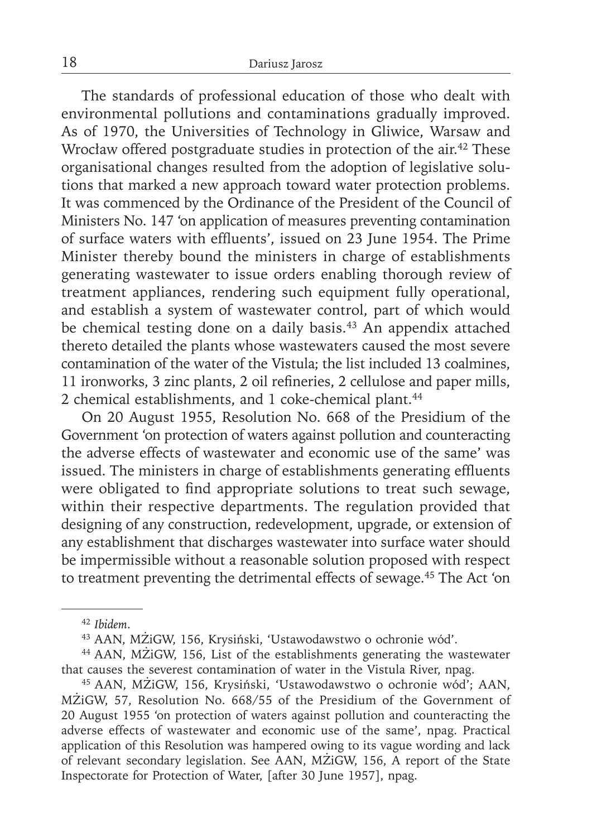The standards of professional education of those who dealt with environmental pollutions and contaminations gradually improved. As of 1970, the Universities of Technology in Gliwice, Warsaw and Wrocław offered postgraduate studies in protection of the air.<sup>42</sup> These organisational changes resulted from the adoption of legislative solutions that marked a new approach toward water protection problems. It was commenced by the Ordinance of the President of the Council of Ministers No. 147 'on application of measures preventing contamination of surface waters with effluents', issued on 23 June 1954. The Prime Minister thereby bound the ministers in charge of establishments generating wastewater to issue orders enabling thorough review of treatment appliances, rendering such equipment fully operational, and establish a system of wastewater control, part of which would be chemical testing done on a daily basis.<sup>43</sup> An appendix attached thereto detailed the plants whose wastewaters caused the most severe contamination of the water of the Vistula; the list included 13 coalmines, 11 ironworks, 3 zinc plants, 2 oil refineries, 2 cellulose and paper mills, 2 chemical establishments, and 1 coke-chemical plant.<sup>44</sup>

On 20 August 1955, Resolution No. 668 of the Presidium of the Government 'on protection of waters against pollution and counteracting the adverse effects of wastewater and economic use of the same' was issued. The ministers in charge of establishments generating effluents were obligated to find appropriate solutions to treat such sewage, within their respective departments. The regulation provided that designing of any construction, redevelopment, upgrade, or extension of any establishment that discharges wastewater into surface water should be impermissible without a reasonable solution proposed with respect to treatment preventing the detrimental effects of sewage.45 The Act 'on

<sup>42</sup>*Ibidem*.

<sup>43</sup> AAN, MŻiGW, 156, Krysiński, 'Ustawodawstwo o ochronie wód'.

<sup>44</sup> AAN, MŻiGW, 156, List of the establishments generating the wastewater that causes the severest contamination of water in the Vistula River, npag.

<sup>45</sup> AAN, MŻiGW, 156, Krysiński, 'Ustawodawstwo o ochronie wód'; AAN, MŻiGW, 57, Resolution No. 668/55 of the Presidium of the Government of 20 August 1955 'on protection of waters against pollution and counteracting the adverse effects of wastewater and economic use of the same', npag. Practical application of this Resolution was hampered owing to its vague wording and lack of relevant secondary legislation. See AAN, MŻiGW, 156, A report of the State Inspectorate for Protection of Water, [after 30 June 1957], npag.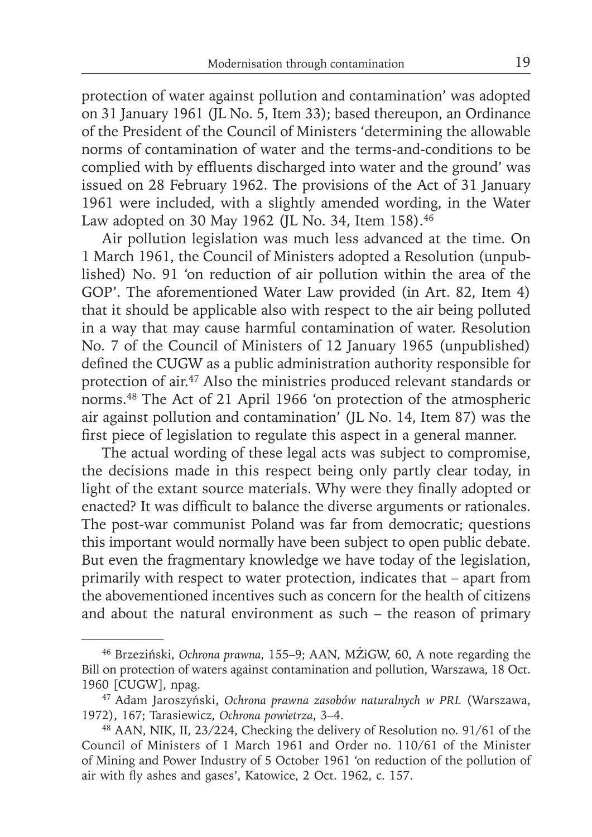protection of water against pollution and contamination' was adopted on 31 January 1961 (JL No. 5, Item 33); based thereupon, an Ordinance of the President of the Council of Ministers 'determining the allowable norms of contamination of water and the terms-and-conditions to be complied with by effluents discharged into water and the ground' was issued on 28 February 1962. The provisions of the Act of 31 January 1961 were included, with a slightly amended wording, in the Water Law adopted on 30 May 1962 (JL No. 34, Item 158).<sup>46</sup>

Air pollution legislation was much less advanced at the time. On 1 March 1961, the Council of Ministers adopted a Resolution (unpublished) No. 91 'on reduction of air pollution within the area of the GOP'. The aforementioned Water Law provided (in Art. 82, Item 4) that it should be applicable also with respect to the air being polluted in a way that may cause harmful contamination of water. Resolution No. 7 of the Council of Ministers of 12 January 1965 (unpublished) defined the CUGW as a public administration authority responsible for protection of air.47 Also the ministries produced relevant standards or norms.48 The Act of 21 April 1966 'on protection of the atmospheric air against pollution and contamination' (JL No. 14, Item 87) was the first piece of legislation to regulate this aspect in a general manner.

The actual wording of these legal acts was subject to compromise, the decisions made in this respect being only partly clear today, in light of the extant source materials. Why were they finally adopted or enacted? It was difficult to balance the diverse arguments or rationales. The post-war communist Poland was far from democratic; questions this important would normally have been subject to open public debate. But even the fragmentary knowledge we have today of the legislation, primarily with respect to water protection, indicates that – apart from the abovementioned incentives such as concern for the health of citizens and about the natural environment as such – the reason of primary

<sup>46</sup> Brzeziński, *Ochrona prawna*, 155–9; AAN, MŻiGW, 60, A note regarding the Bill on protection of waters against contamination and pollution, Warszawa, 18 Oct. 1960 [CUGW], npag.

<sup>47</sup> Adam Jaroszyński, *Ochrona prawna zasobów naturalnych w PRL* (Warszawa, 1972), 167; Tarasiewicz, *Ochrona powietrza*, 3–4.

<sup>48</sup> AAN, NIK, II, 23/224, Checking the delivery of Resolution no. 91/61 of the Council of Ministers of 1 March 1961 and Order no. 110/61 of the Minister of Mining and Power Industry of 5 October 1961 'on reduction of the pollution of air with fly ashes and gases', Katowice, 2 Oct. 1962, c. 157.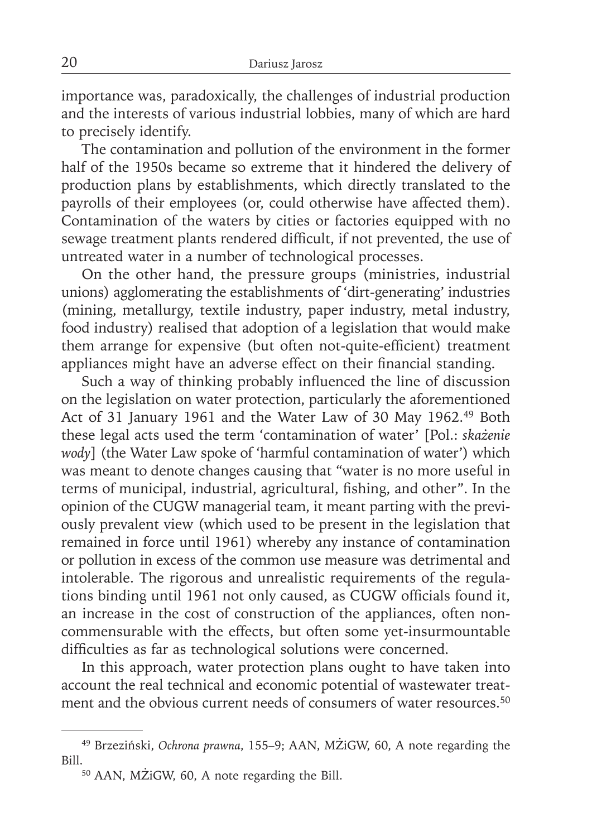importance was, paradoxically, the challenges of industrial production and the interests of various industrial lobbies, many of which are hard to precisely identify.

The contamination and pollution of the environment in the former half of the 1950s became so extreme that it hindered the delivery of production plans by establishments, which directly translated to the payrolls of their employees (or, could otherwise have affected them). Contamination of the waters by cities or factories equipped with no sewage treatment plants rendered difficult, if not prevented, the use of untreated water in a number of technological processes.

On the other hand, the pressure groups (ministries, industrial unions) agglomerating the establishments of 'dirt-generating' industries (mining, metallurgy, textile industry, paper industry, metal industry, food industry) realised that adoption of a legislation that would make them arrange for expensive (but often not-quite-efficient) treatment appliances might have an adverse effect on their financial standing.

Such a way of thinking probably influenced the line of discussion on the legislation on water protection, particularly the aforementioned Act of 31 January 1961 and the Water Law of 30 May 1962.49 Both these legal acts used the term 'contamination of water' [Pol.: *skażenie wody*] (the Water Law spoke of 'harmful contamination of water') which was meant to denote changes causing that "water is no more useful in terms of municipal, industrial, agricultural, fishing, and other". In the opinion of the CUGW managerial team, it meant parting with the previously prevalent view (which used to be present in the legislation that remained in force until 1961) whereby any instance of contamination or pollution in excess of the common use measure was detrimental and intolerable. The rigorous and unrealistic requirements of the regulations binding until 1961 not only caused, as CUGW officials found it, an increase in the cost of construction of the appliances, often noncommensurable with the effects, but often some yet-insurmountable difficulties as far as technological solutions were concerned.

In this approach, water protection plans ought to have taken into account the real technical and economic potential of wastewater treatment and the obvious current needs of consumers of water resources.<sup>50</sup>

<sup>49</sup> Brzeziński, *Ochrona prawna*, 155–9; AAN, MŻiGW, 60, A note regarding the Bill.<br>50 AAN, MŻiGW, 60, A note regarding the Bill.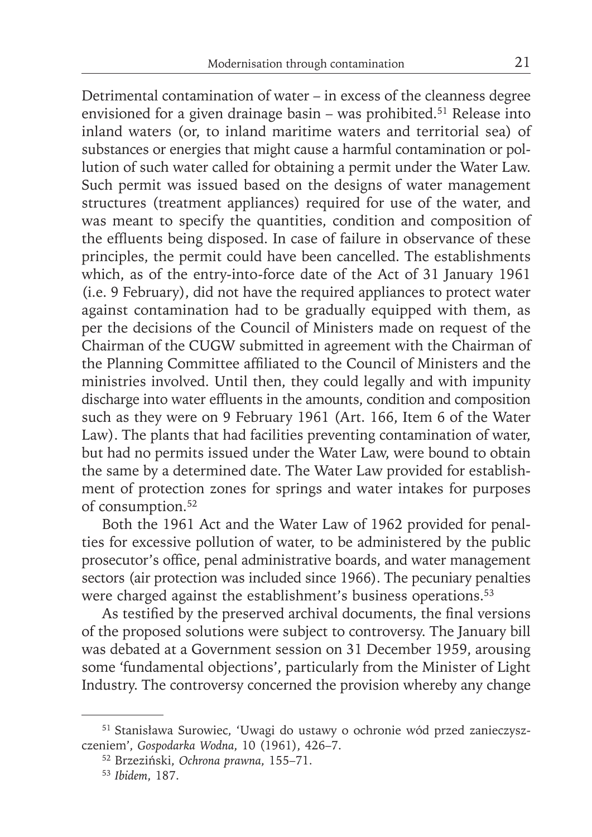Detrimental contamination of water – in excess of the cleanness degree envisioned for a given drainage basin – was prohibited.<sup>51</sup> Release into inland waters (or, to inland maritime waters and territorial sea) of substances or energies that might cause a harmful contamination or pollution of such water called for obtaining a permit under the Water Law. Such permit was issued based on the designs of water management structures (treatment appliances) required for use of the water, and was meant to specify the quantities, condition and composition of the effluents being disposed. In case of failure in observance of these principles, the permit could have been cancelled. The establishments which, as of the entry-into-force date of the Act of 31 January 1961 (i.e. 9 February), did not have the required appliances to protect water against contamination had to be gradually equipped with them, as per the decisions of the Council of Ministers made on request of the Chairman of the CUGW submitted in agreement with the Chairman of the Planning Committee affiliated to the Council of Ministers and the ministries involved. Until then, they could legally and with impunity discharge into water effluents in the amounts, condition and composition such as they were on 9 February 1961 (Art. 166, Item 6 of the Water Law). The plants that had facilities preventing contamination of water, but had no permits issued under the Water Law, were bound to obtain the same by a determined date. The Water Law provided for establishment of protection zones for springs and water intakes for purposes of consumption.<sup>52</sup>

Both the 1961 Act and the Water Law of 1962 provided for penalties for excessive pollution of water, to be administered by the public prosecutor's office, penal administrative boards, and water management sectors (air protection was included since 1966). The pecuniary penalties were charged against the establishment's business operations.<sup>53</sup>

As testified by the preserved archival documents, the final versions of the proposed solutions were subject to controversy. The January bill was debated at a Government session on 31 December 1959, arousing some 'fundamental objections', particularly from the Minister of Light Industry. The controversy concerned the provision whereby any change

<sup>51</sup> Stanisława Surowiec, 'Uwagi do ustawy o ochronie wód przed zanieczyszczeniem', *Gospodarka Wodna*, 10 (1961), 426–7.

<sup>52</sup> Brzeziński, *Ochrona prawna*, 155–71.

<sup>53</sup>*Ibidem*, 187.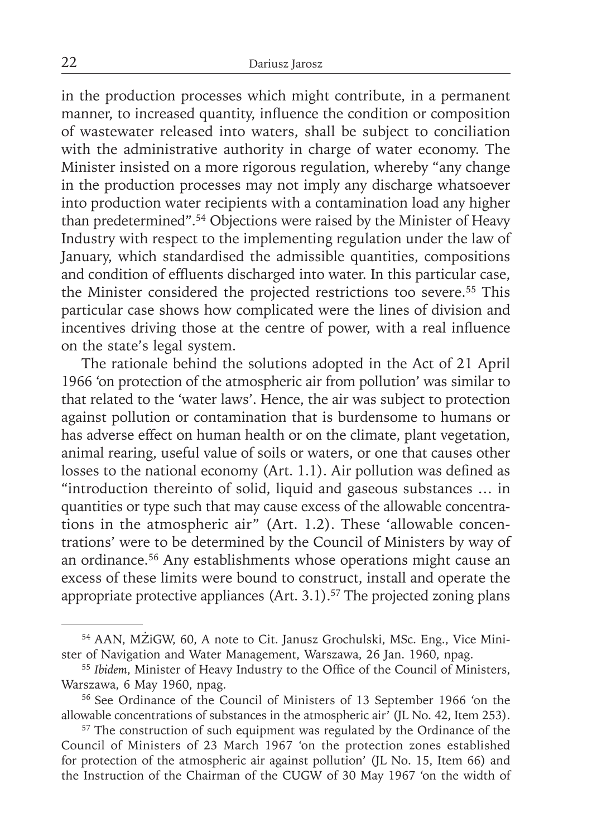in the production processes which might contribute, in a permanent manner, to increased quantity, influence the condition or composition of wastewater released into waters, shall be subject to conciliation with the administrative authority in charge of water economy. The Minister insisted on a more rigorous regulation, whereby "any change in the production processes may not imply any discharge whatsoever into production water recipients with a contamination load any higher than predetermined".54 Objections were raised by the Minister of Heavy Industry with respect to the implementing regulation under the law of January, which standardised the admissible quantities, compositions and condition of effluents discharged into water. In this particular case, the Minister considered the projected restrictions too severe.55 This particular case shows how complicated were the lines of division and incentives driving those at the centre of power, with a real influence on the state's legal system.

The rationale behind the solutions adopted in the Act of 21 April 1966 'on protection of the atmospheric air from pollution' was similar to that related to the 'water laws'. Hence, the air was subject to protection against pollution or contamination that is burdensome to humans or has adverse effect on human health or on the climate, plant vegetation, animal rearing, useful value of soils or waters, or one that causes other losses to the national economy (Art. 1.1). Air pollution was defined as "introduction thereinto of solid, liquid and gaseous substances … in quantities or type such that may cause excess of the allowable concentrations in the atmospheric air" (Art. 1.2). These 'allowable concentrations' were to be determined by the Council of Ministers by way of an ordinance.56 Any establishments whose operations might cause an excess of these limits were bound to construct, install and operate the appropriate protective appliances  $(Art. 3.1).<sup>57</sup>$  The projected zoning plans

<sup>54</sup> AAN, MŻiGW, 60, A note to Cit. Janusz Grochulski, MSc. Eng., Vice Minister of Navigation and Water Management, Warszawa, 26 Jan. 1960, npag.

<sup>&</sup>lt;sup>55</sup> Ibidem, Minister of Heavy Industry to the Office of the Council of Ministers, Warszawa, 6 May 1960, npag.

<sup>56</sup> See Ordinance of the Council of Ministers of 13 September 1966 'on the allowable concentrations of substances in the atmospheric air' (JL No. 42, Item 253).

<sup>&</sup>lt;sup>57</sup> The construction of such equipment was regulated by the Ordinance of the Council of Ministers of 23 March 1967 'on the protection zones established for protection of the atmospheric air against pollution' (JL No. 15, Item 66) and the Instruction of the Chairman of the CUGW of 30 May 1967 'on the width of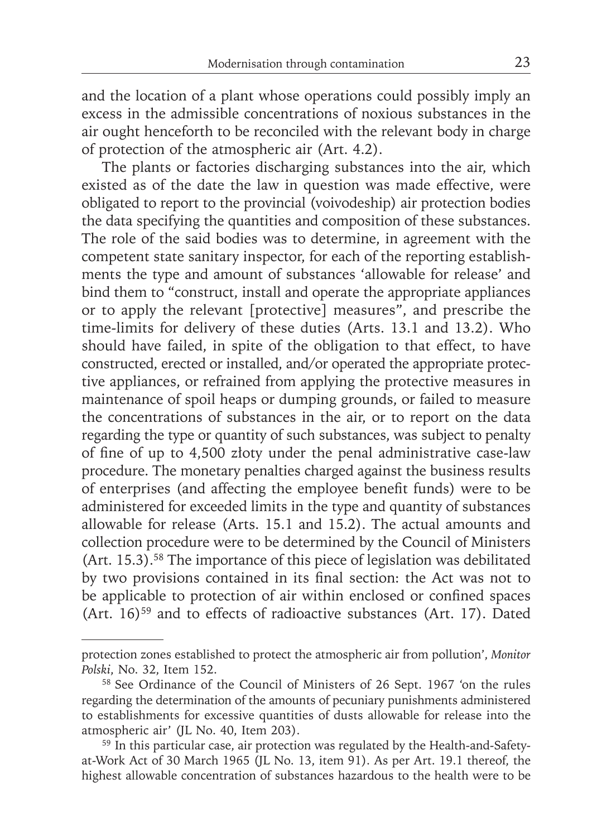and the location of a plant whose operations could possibly imply an excess in the admissible concentrations of noxious substances in the air ought henceforth to be reconciled with the relevant body in charge of protection of the atmospheric air (Art. 4.2).

The plants or factories discharging substances into the air, which existed as of the date the law in question was made effective, were obligated to report to the provincial (voivodeship) air protection bodies the data specifying the quantities and composition of these substances. The role of the said bodies was to determine, in agreement with the competent state sanitary inspector, for each of the reporting establishments the type and amount of substances 'allowable for release' and bind them to "construct, install and operate the appropriate appliances or to apply the relevant [protective] measures", and prescribe the time-limits for delivery of these duties (Arts. 13.1 and 13.2). Who should have failed, in spite of the obligation to that effect, to have constructed, erected or installed, and/or operated the appropriate protective appliances, or refrained from applying the protective measures in maintenance of spoil heaps or dumping grounds, or failed to measure the concentrations of substances in the air, or to report on the data regarding the type or quantity of such substances, was subject to penalty of fine of up to 4,500 złoty under the penal administrative case-law procedure. The monetary penalties charged against the business results of enterprises (and affecting the employee benefit funds) were to be administered for exceeded limits in the type and quantity of substances allowable for release (Arts. 15.1 and 15.2). The actual amounts and collection procedure were to be determined by the Council of Ministers (Art. 15.3).58 The importance of this piece of legislation was debilitated by two provisions contained in its final section: the Act was not to be applicable to protection of air within enclosed or confined spaces (Art.  $16)$ <sup>59</sup> and to effects of radioactive substances (Art. 17). Dated

protection zones established to protect the atmospheric air from pollution', *Monitor Polski*, No. 32, Item 152.

<sup>58</sup> See Ordinance of the Council of Ministers of 26 Sept. 1967 'on the rules regarding the determination of the amounts of pecuniary punishments administered to establishments for excessive quantities of dusts allowable for release into the atmospheric air' (JL No. 40, Item 203).

<sup>&</sup>lt;sup>59</sup> In this particular case, air protection was regulated by the Health-and-Safetyat-Work Act of 30 March 1965 (JL No. 13, item 91). As per Art. 19.1 thereof, the highest allowable concentration of substances hazardous to the health were to be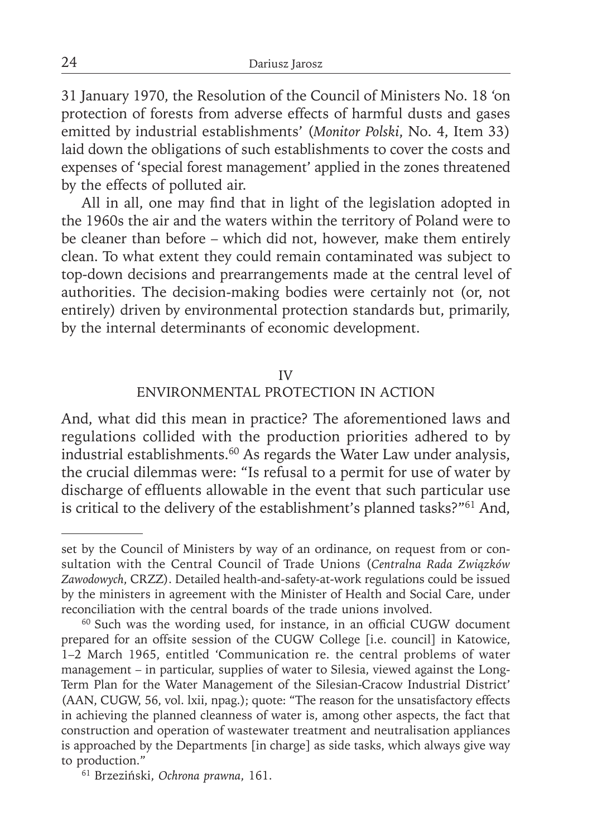31 January 1970, the Resolution of the Council of Ministers No. 18 'on protection of forests from adverse effects of harmful dusts and gases emitted by industrial establishments' (*Monitor Polski*, No. 4, Item 33) laid down the obligations of such establishments to cover the costs and expenses of 'special forest management' applied in the zones threatened by the effects of polluted air.

All in all, one may find that in light of the legislation adopted in the 1960s the air and the waters within the territory of Poland were to be cleaner than before – which did not, however, make them entirely clean. To what extent they could remain contaminated was subject to top-down decisions and prearrangements made at the central level of authorities. The decision-making bodies were certainly not (or, not entirely) driven by environmental protection standards but, primarily, by the internal determinants of economic development.

#### IV

#### ENVIRONMENTAL PROTECTION IN ACTION

And, what did this mean in practice? The aforementioned laws and regulations collided with the production priorities adhered to by industrial establishments.60 As regards the Water Law under analysis, the crucial dilemmas were: "Is refusal to a permit for use of water by discharge of effluents allowable in the event that such particular use is critical to the delivery of the establishment's planned tasks?"61 And,

set by the Council of Ministers by way of an ordinance, on request from or consultation with the Central Council of Trade Unions (*Centralna Rada Związków Zawodowych*, CRZZ). Detailed health-and-safety-at-work regulations could be issued by the ministers in agreement with the Minister of Health and Social Care, under reconciliation with the central boards of the trade unions involved.

 $60$  Such was the wording used, for instance, in an official CUGW document prepared for an offsite session of the CUGW College [i.e. council] in Katowice, 1–2 March 1965, entitled 'Communication re. the central problems of water management – in particular, supplies of water to Silesia, viewed against the Long-Term Plan for the Water Management of the Silesian-Cracow Industrial District' (AAN, CUGW, 56, vol. lxii, npag.); quote: "The reason for the unsatisfactory effects in achieving the planned cleanness of water is, among other aspects, the fact that construction and operation of wastewater treatment and neutralisation appliances is approached by the Departments [in charge] as side tasks, which always give way to production."

<sup>61</sup> Brzeziński, *Ochrona prawna*, 161.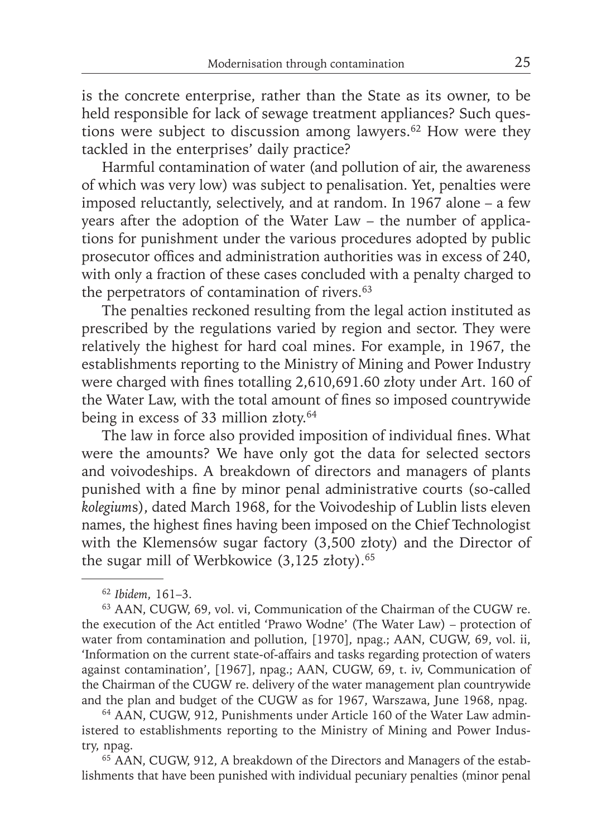is the concrete enterprise, rather than the State as its owner, to be held responsible for lack of sewage treatment appliances? Such questions were subject to discussion among lawyers.62 How were they tackled in the enterprises' daily practice?

Harmful contamination of water (and pollution of air, the awareness of which was very low) was subject to penalisation. Yet, penalties were imposed reluctantly, selectively, and at random. In 1967 alone – a few years after the adoption of the Water Law – the number of applications for punishment under the various procedures adopted by public prosecutor offices and administration authorities was in excess of 240, with only a fraction of these cases concluded with a penalty charged to the perpetrators of contamination of rivers.<sup>63</sup>

The penalties reckoned resulting from the legal action instituted as prescribed by the regulations varied by region and sector. They were relatively the highest for hard coal mines. For example, in 1967, the establishments reporting to the Ministry of Mining and Power Industry were charged with fines totalling 2,610,691.60 złoty under Art. 160 of the Water Law, with the total amount of fines so imposed countrywide being in excess of 33 million złoty.<sup>64</sup>

The law in force also provided imposition of individual fines. What were the amounts? We have only got the data for selected sectors and voivodeships. A breakdown of directors and managers of plants punished with a fine by minor penal administrative courts (so-called *kolegium*s), dated March 1968, for the Voivodeship of Lublin lists eleven names, the highest fines having been imposed on the Chief Technologist with the Klemensów sugar factory (3,500 złoty) and the Director of the sugar mill of Werbkowice (3,125 złoty).<sup>65</sup>

64 AAN, CUGW, 912, Punishments under Article 160 of the Water Law administered to establishments reporting to the Ministry of Mining and Power Industry, npag.

<sup>65</sup> AAN, CUGW, 912, A breakdown of the Directors and Managers of the establishments that have been punished with individual pecuniary penalties (minor penal

<sup>62</sup>*Ibidem*, 161–3.

<sup>63</sup> AAN, CUGW, 69, vol. vi, Communication of the Chairman of the CUGW re. the execution of the Act entitled 'Prawo Wodne' (The Water Law) – protection of water from contamination and pollution, [1970], npag.; AAN, CUGW, 69, vol. ii, 'Information on the current state-of-affairs and tasks regarding protection of waters against contamination', [1967], npag.; AAN, CUGW, 69, t. iv, Communication of the Chairman of the CUGW re. delivery of the water management plan countrywide and the plan and budget of the CUGW as for 1967, Warszawa, June 1968, npag.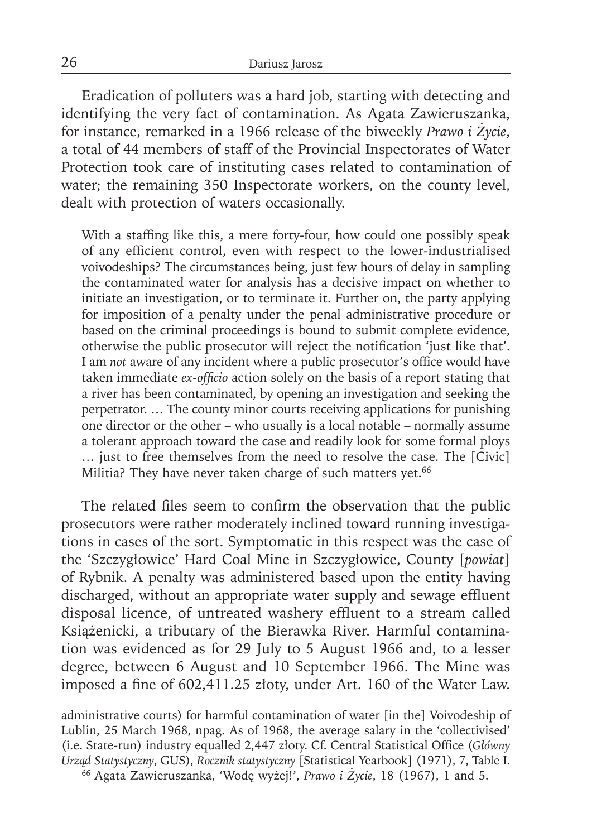Eradication of polluters was a hard job, starting with detecting and identifying the very fact of contamination. As Agata Zawieruszanka, for instance, remarked in a 1966 release of the biweekly *Prawo i Życie*, a total of 44 members of staff of the Provincial Inspectorates of Water Protection took care of instituting cases related to contamination of water; the remaining 350 Inspectorate workers, on the county level, dealt with protection of waters occasionally.

With a staffing like this, a mere forty-four, how could one possibly speak of any efficient control, even with respect to the lower-industrialised voivodeships? The circumstances being, just few hours of delay in sampling the contaminated water for analysis has a decisive impact on whether to initiate an investigation, or to terminate it. Further on, the party applying for imposition of a penalty under the penal administrative procedure or based on the criminal proceedings is bound to submit complete evidence, otherwise the public prosecutor will reject the notification 'just like that'. I am *not* aware of any incident where a public prosecutor's office would have taken immediate *ex-officio* action solely on the basis of a report stating that a river has been contaminated, by opening an investigation and seeking the perpetrator. … The county minor courts receiving applications for punishing one director or the other – who usually is a local notable – normally assume a tolerant approach toward the case and readily look for some formal ploys … just to free themselves from the need to resolve the case. The [Civic] Militia? They have never taken charge of such matters yet.<sup>66</sup>

The related files seem to confirm the observation that the public prosecutors were rather moderately inclined toward running investigations in cases of the sort. Symptomatic in this respect was the case of the 'Szczygłowice' Hard Coal Mine in Szczygłowice, County [*powiat*] of Rybnik. A penalty was administered based upon the entity having discharged, without an appropriate water supply and sewage effluent disposal licence, of untreated washery effluent to a stream called Książenicki, a tributary of the Bierawka River. Harmful contamination was evidenced as for 29 July to 5 August 1966 and, to a lesser degree, between 6 August and 10 September 1966. The Mine was imposed a fine of 602,411.25 złoty, under Art. 160 of the Water Law.

administrative courts) for harmful contamination of water [in the] Voivodeship of Lublin, 25 March 1968, npag. As of 1968, the average salary in the 'collectivised' (i.e. State-run) industry equalled 2,447 złoty. Cf. Central Statistical Office (*Główny Urząd Statystyczny*, GUS), *Rocznik statystyczny* [Statistical Yearbook] (1971), 7, Table I.

<sup>66</sup> Agata Zawieruszanka, 'Wodę wyżej!', *Prawo i Życie*, 18 (1967), 1 and 5.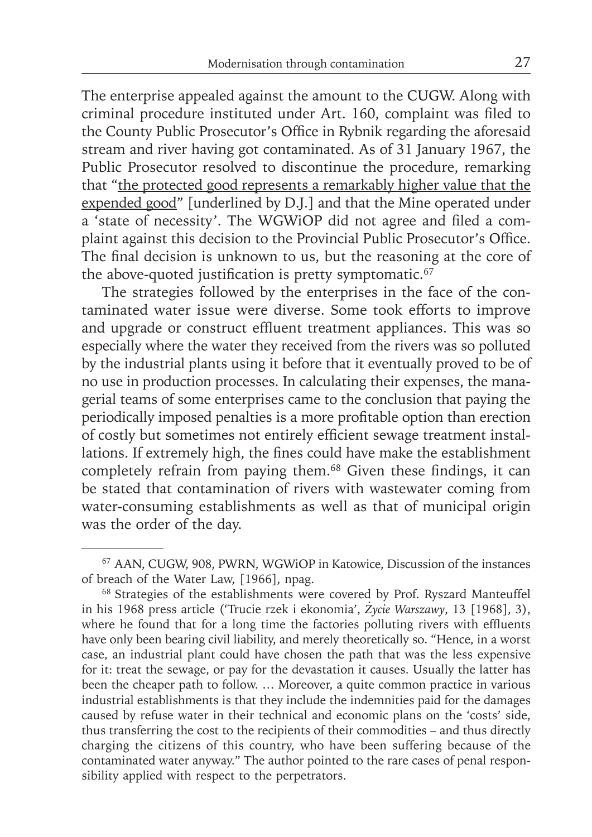The enterprise appealed against the amount to the CUGW. Along with criminal procedure instituted under Art. 160, complaint was filed to the County Public Prosecutor's Office in Rybnik regarding the aforesaid stream and river having got contaminated. As of 31 January 1967, the Public Prosecutor resolved to discontinue the procedure, remarking that "the protected good represents a remarkably higher value that the expended good" [underlined by D.J.] and that the Mine operated under a 'state of necessity'. The WGWiOP did not agree and filed a complaint against this decision to the Provincial Public Prosecutor's Office. The final decision is unknown to us, but the reasoning at the core of the above-quoted justification is pretty symptomatic. $67$ 

The strategies followed by the enterprises in the face of the contaminated water issue were diverse. Some took efforts to improve and upgrade or construct effluent treatment appliances. This was so especially where the water they received from the rivers was so polluted by the industrial plants using it before that it eventually proved to be of no use in production processes. In calculating their expenses, the managerial teams of some enterprises came to the conclusion that paying the periodically imposed penalties is a more profitable option than erection of costly but sometimes not entirely efficient sewage treatment installations. If extremely high, the fines could have make the establishment completely refrain from paying them.<sup>68</sup> Given these findings, it can be stated that contamination of rivers with wastewater coming from water-consuming establishments as well as that of municipal origin was the order of the day.

<sup>67</sup> AAN, CUGW, 908, PWRN, WGWiOP in Katowice, Discussion of the instances of breach of the Water Law, [1966], npag.

<sup>&</sup>lt;sup>68</sup> Strategies of the establishments were covered by Prof. Ryszard Manteuffel in his 1968 press article ('Trucie rzek i ekonomia', *Życie Warszawy*, 13 [1968], 3), where he found that for a long time the factories polluting rivers with effluents have only been bearing civil liability, and merely theoretically so. "Hence, in a worst case, an industrial plant could have chosen the path that was the less expensive for it: treat the sewage, or pay for the devastation it causes. Usually the latter has been the cheaper path to follow. … Moreover, a quite common practice in various industrial establishments is that they include the indemnities paid for the damages caused by refuse water in their technical and economic plans on the 'costs' side, thus transferring the cost to the recipients of their commodities – and thus directly charging the citizens of this country, who have been suffering because of the contaminated water anyway." The author pointed to the rare cases of penal responsibility applied with respect to the perpetrators.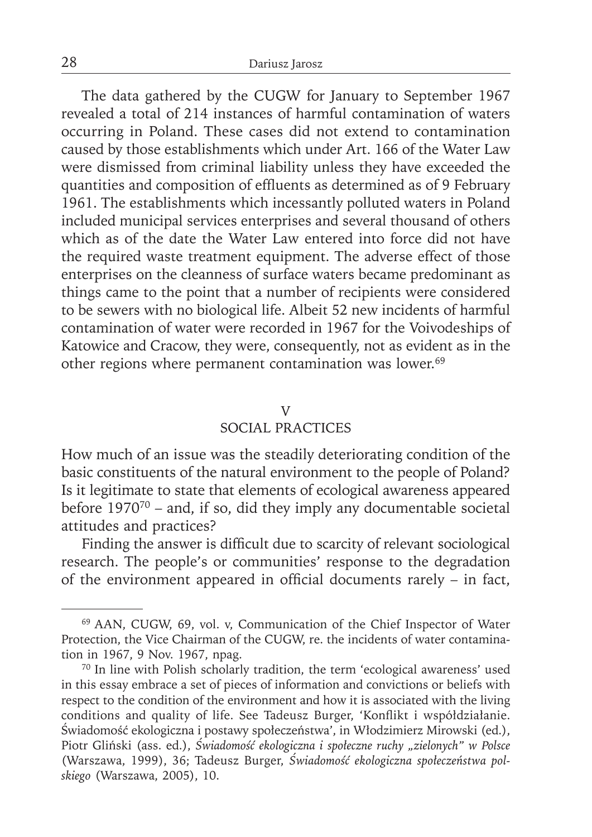The data gathered by the CUGW for January to September 1967 revealed a total of 214 instances of harmful contamination of waters occurring in Poland. These cases did not extend to contamination caused by those establishments which under Art. 166 of the Water Law were dismissed from criminal liability unless they have exceeded the quantities and composition of effluents as determined as of 9 February 1961. The establishments which incessantly polluted waters in Poland included municipal services enterprises and several thousand of others which as of the date the Water Law entered into force did not have the required waste treatment equipment. The adverse effect of those enterprises on the cleanness of surface waters became predominant as things came to the point that a number of recipients were considered to be sewers with no biological life. Albeit 52 new incidents of harmful contamination of water were recorded in 1967 for the Voivodeships of Katowice and Cracow, they were, consequently, not as evident as in the other regions where permanent contamination was lower.69

## V

## SOCIAL PRACTICES

How much of an issue was the steadily deteriorating condition of the basic constituents of the natural environment to the people of Poland? Is it legitimate to state that elements of ecological awareness appeared before  $1970^{70}$  – and, if so, did they imply any documentable societal attitudes and practices?

Finding the answer is difficult due to scarcity of relevant sociological research. The people's or communities' response to the degradation of the environment appeared in official documents rarely  $-$  in fact,

<sup>69</sup> AAN, CUGW, 69, vol. v, Communication of the Chief Inspector of Water Protection, the Vice Chairman of the CUGW, re. the incidents of water contamination in 1967, 9 Nov. 1967, npag.

<sup>70</sup> In line with Polish scholarly tradition, the term 'ecological awareness' used in this essay embrace a set of pieces of information and convictions or beliefs with respect to the condition of the environment and how it is associated with the living conditions and quality of life. See Tadeusz Burger, 'Konflikt i współdziałanie. Świadomość ekologiczna i postawy społeczeństwa', in Włodzimierz Mirowski (ed.), Piotr Gliński (ass. ed.), *Świadomość ekologiczna i społeczne ruchy "zielonych" w Polsce* (Warszawa, 1999), 36; Tadeusz Burger, *Świadomość ekologiczna społeczeństwa polskiego* (Warszawa, 2005), 10.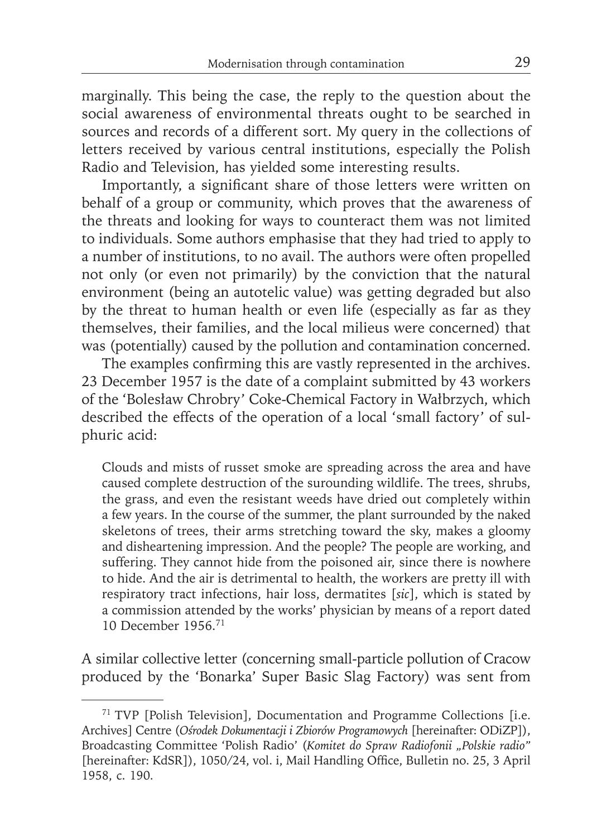marginally. This being the case, the reply to the question about the social awareness of environmental threats ought to be searched in sources and records of a different sort. My query in the collections of letters received by various central institutions, especially the Polish Radio and Television, has yielded some interesting results.

Importantly, a significant share of those letters were written on behalf of a group or community, which proves that the awareness of the threats and looking for ways to counteract them was not limited to individuals. Some authors emphasise that they had tried to apply to a number of institutions, to no avail. The authors were often propelled not only (or even not primarily) by the conviction that the natural environment (being an autotelic value) was getting degraded but also by the threat to human health or even life (especially as far as they themselves, their families, and the local milieus were concerned) that was (potentially) caused by the pollution and contamination concerned.

The examples confirming this are vastly represented in the archives. 23 December 1957 is the date of a complaint submitted by 43 workers of the 'Bolesław Chrobry' Coke-Chemical Factory in Wałbrzych, which described the effects of the operation of a local 'small factory' of sulphuric acid:

Clouds and mists of russet smoke are spreading across the area and have caused complete destruction of the surounding wildlife. The trees, shrubs, the grass, and even the resistant weeds have dried out completely within a few years. In the course of the summer, the plant surrounded by the naked skeletons of trees, their arms stretching toward the sky, makes a gloomy and disheartening impression. And the people? The people are working, and suffering. They cannot hide from the poisoned air, since there is nowhere to hide. And the air is detrimental to health, the workers are pretty ill with respiratory tract infections, hair loss, dermatites [*sic*], which is stated by a commission attended by the works' physician by means of a report dated 10 December 1956.71

A similar collective letter (concerning small-particle pollution of Cracow produced by the 'Bonarka' Super Basic Slag Factory) was sent from

<sup>71</sup> TVP [Polish Television], Documentation and Programme Collections [i.e. Archives] Centre (*Ośrodek Dokumentacji i Zbiorów Programowych* [hereinafter: ODiZP]), Broadcasting Committee 'Polish Radio' (*Komitet do Spraw Radiofonii "Polskie radio"*  [hereinafter: KdSR]), 1050/24, vol. i, Mail Handling Office, Bulletin no. 25, 3 April 1958, c. 190.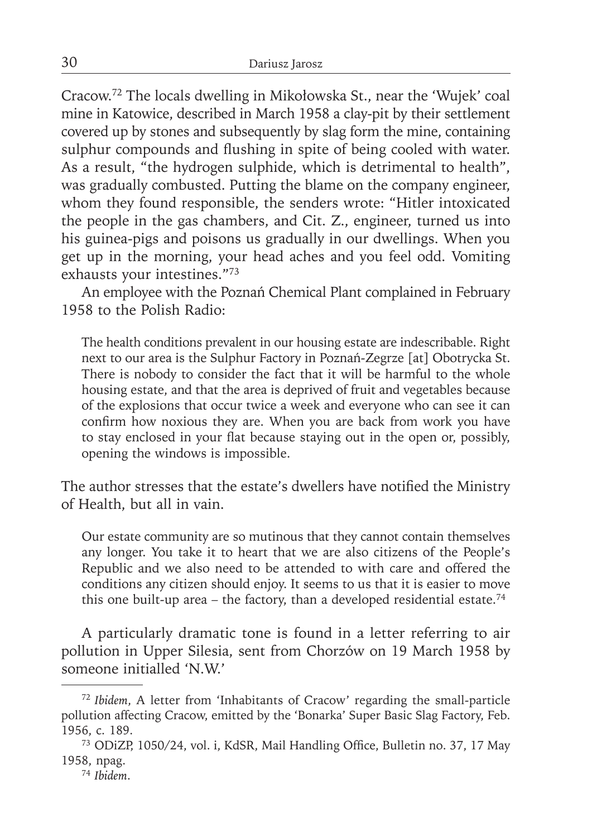Cracow.72 The locals dwelling in Mikołowska St., near the 'Wujek' coal mine in Katowice, described in March 1958 a clay-pit by their settlement covered up by stones and subsequently by slag form the mine, containing sulphur compounds and flushing in spite of being cooled with water. As a result, "the hydrogen sulphide, which is detrimental to health", was gradually combusted. Putting the blame on the company engineer, whom they found responsible, the senders wrote: "Hitler intoxicated the people in the gas chambers, and Cit. Z., engineer, turned us into his guinea-pigs and poisons us gradually in our dwellings. When you get up in the morning, your head aches and you feel odd. Vomiting exhausts your intestines."73

An employee with the Poznań Chemical Plant complained in February 1958 to the Polish Radio:

The health conditions prevalent in our housing estate are indescribable. Right next to our area is the Sulphur Factory in Poznań-Zegrze [at] Obotrycka St. There is nobody to consider the fact that it will be harmful to the whole housing estate, and that the area is deprived of fruit and vegetables because of the explosions that occur twice a week and everyone who can see it can confirm how noxious they are. When you are back from work you have to stay enclosed in your flat because staying out in the open or, possibly, opening the windows is impossible.

The author stresses that the estate's dwellers have notified the Ministry of Health, but all in vain.

Our estate community are so mutinous that they cannot contain themselves any longer. You take it to heart that we are also citizens of the People's Republic and we also need to be attended to with care and offered the conditions any citizen should enjoy. It seems to us that it is easier to move this one built-up area – the factory, than a developed residential estate.<sup>74</sup>

A particularly dramatic tone is found in a letter referring to air pollution in Upper Silesia, sent from Chorzów on 19 March 1958 by someone initialled 'N.W.'

<sup>72</sup>*Ibidem*, A letter from 'Inhabitants of Cracow' regarding the small-particle pollution affecting Cracow, emitted by the 'Bonarka' Super Basic Slag Factory, Feb. 1956, c. 189.

<sup>&</sup>lt;sup>73</sup> ODiZP, 1050/24, vol. i, KdSR, Mail Handling Office, Bulletin no. 37, 17 May 1958, npag.

<sup>74</sup> *Ibidem*.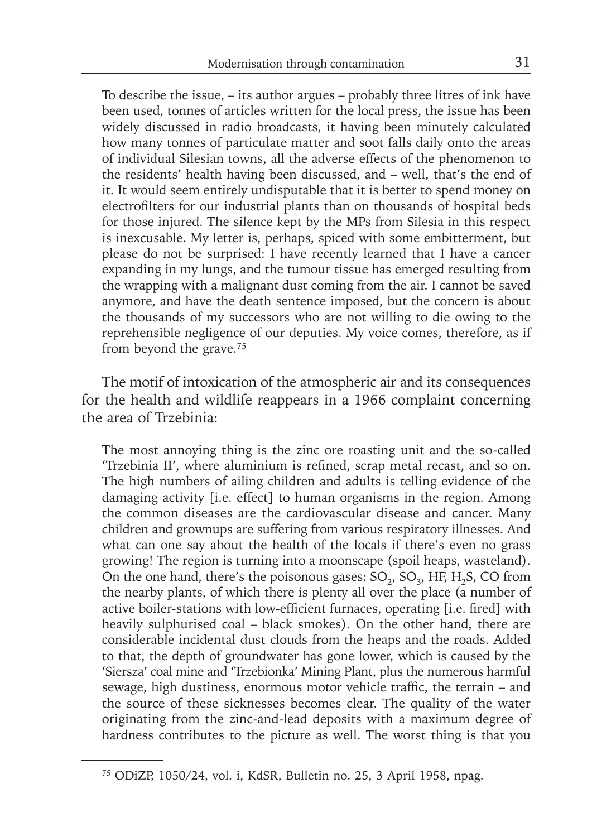To describe the issue, – its author argues – probably three litres of ink have been used, tonnes of articles written for the local press, the issue has been widely discussed in radio broadcasts, it having been minutely calculated how many tonnes of particulate matter and soot falls daily onto the areas of individual Silesian towns, all the adverse effects of the phenomenon to the residents' health having been discussed, and – well, that's the end of it. It would seem entirely undisputable that it is better to spend money on electrofilters for our industrial plants than on thousands of hospital beds for those injured. The silence kept by the MPs from Silesia in this respect is inexcusable. My letter is, perhaps, spiced with some embitterment, but please do not be surprised: I have recently learned that I have a cancer expanding in my lungs, and the tumour tissue has emerged resulting from the wrapping with a malignant dust coming from the air. I cannot be saved anymore, and have the death sentence imposed, but the concern is about the thousands of my successors who are not willing to die owing to the reprehensible negligence of our deputies. My voice comes, therefore, as if from beyond the grave.<sup>75</sup>

The motif of intoxication of the atmospheric air and its consequences for the health and wildlife reappears in a 1966 complaint concerning the area of Trzebinia:

The most annoying thing is the zinc ore roasting unit and the so-called 'Trzebinia II', where aluminium is refined, scrap metal recast, and so on. The high numbers of ailing children and adults is telling evidence of the damaging activity [i.e. effect] to human organisms in the region. Among the common diseases are the cardiovascular disease and cancer. Many children and grownups are suffering from various respiratory illnesses. And what can one say about the health of the locals if there's even no grass growing! The region is turning into a moonscape (spoil heaps, wasteland). On the one hand, there's the poisonous gases:  $SO_2$ ,  $SO_3$ , HF, H<sub>2</sub>S, CO from the nearby plants, of which there is plenty all over the place (a number of active boiler-stations with low-efficient furnaces, operating [i.e. fired] with heavily sulphurised coal – black smokes). On the other hand, there are considerable incidental dust clouds from the heaps and the roads. Added to that, the depth of groundwater has gone lower, which is caused by the 'Siersza' coal mine and 'Trzebionka' Mining Plant, plus the numerous harmful sewage, high dustiness, enormous motor vehicle traffic, the terrain – and the source of these sicknesses becomes clear. The quality of the water originating from the zinc-and-lead deposits with a maximum degree of hardness contributes to the picture as well. The worst thing is that you

<sup>75</sup> ODiZP, 1050/24, vol. i, KdSR, Bulletin no. 25, 3 April 1958, npag.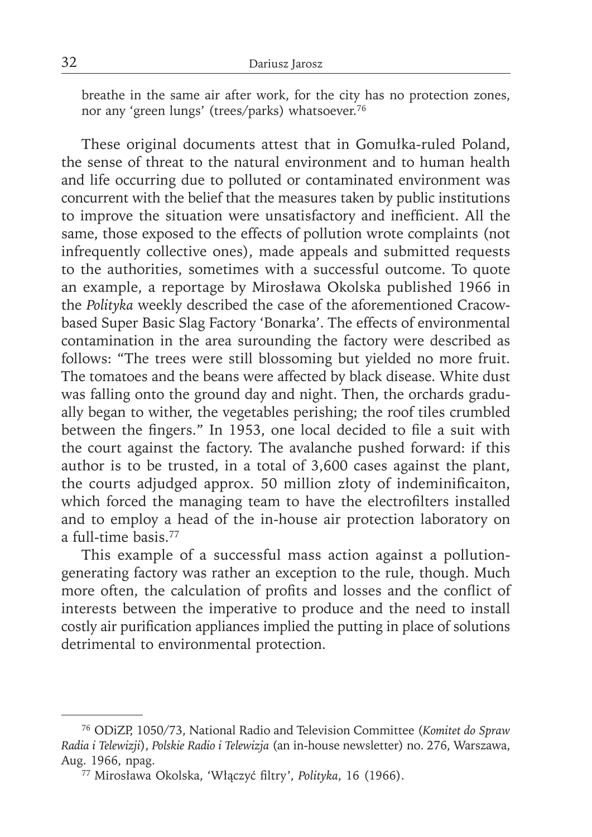breathe in the same air after work, for the city has no protection zones, nor any 'green lungs' (trees/parks) whatsoever.76

These original documents attest that in Gomułka-ruled Poland, the sense of threat to the natural environment and to human health and life occurring due to polluted or contaminated environment was concurrent with the belief that the measures taken by public institutions to improve the situation were unsatisfactory and inefficient. All the same, those exposed to the effects of pollution wrote complaints (not infrequently collective ones), made appeals and submitted requests to the authorities, sometimes with a successful outcome. To quote an example, a reportage by Mirosława Okolska published 1966 in the *Polityka* weekly described the case of the aforementioned Cracowbased Super Basic Slag Factory 'Bonarka'. The effects of environmental contamination in the area surounding the factory were described as follows: "The trees were still blossoming but yielded no more fruit. The tomatoes and the beans were affected by black disease. White dust was falling onto the ground day and night. Then, the orchards gradually began to wither, the vegetables perishing; the roof tiles crumbled between the fingers." In 1953, one local decided to file a suit with the court against the factory. The avalanche pushed forward: if this author is to be trusted, in a total of 3,600 cases against the plant, the courts adjudged approx. 50 million złoty of indeminificaiton, which forced the managing team to have the electrofilters installed and to employ a head of the in-house air protection laboratory on a full-time basis.77

This example of a successful mass action against a pollutiongenerating factory was rather an exception to the rule, though. Much more often, the calculation of profits and losses and the conflict of interests between the imperative to produce and the need to install costly air purification appliances implied the putting in place of solutions detrimental to environmental protection.

<sup>76</sup> ODiZP, 1050/73, National Radio and Television Committee (*Komitet do Spraw Radia i Telewizji*), *Polskie Radio i Telewizja* (an in-house newsletter) no. 276, Warszawa, Aug. 1966, npag.

<sup>77</sup> Mirosława Okolska, 'Włączyć fi ltry', *Polityka*, 16 (1966).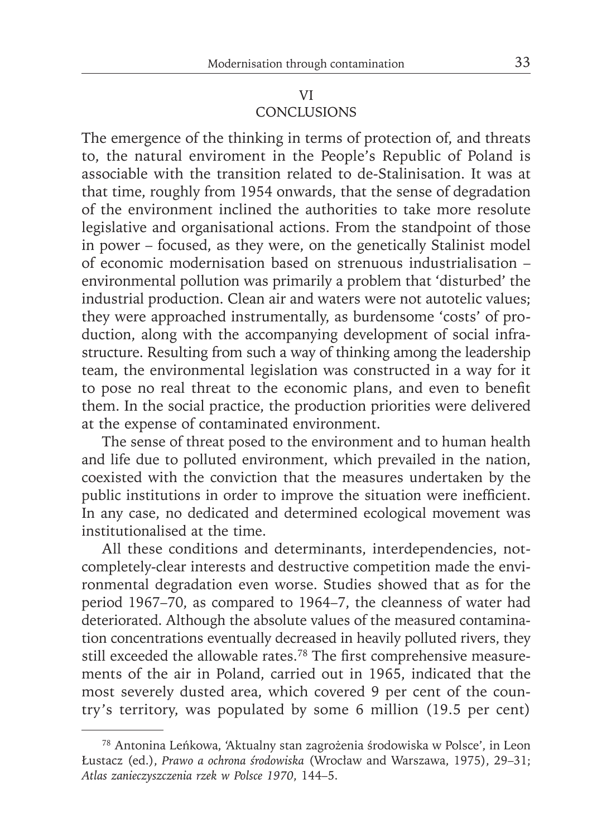## VI **CONCLUSIONS**

The emergence of the thinking in terms of protection of, and threats to, the natural enviroment in the People's Republic of Poland is associable with the transition related to de-Stalinisation. It was at that time, roughly from 1954 onwards, that the sense of degradation of the environment inclined the authorities to take more resolute legislative and organisational actions. From the standpoint of those in power – focused, as they were, on the genetically Stalinist model of economic modernisation based on strenuous industrialisation – environmental pollution was primarily a problem that 'disturbed' the industrial production. Clean air and waters were not autotelic values; they were approached instrumentally, as burdensome 'costs' of production, along with the accompanying development of social infrastructure. Resulting from such a way of thinking among the leadership team, the environmental legislation was constructed in a way for it to pose no real threat to the economic plans, and even to benefit them. In the social practice, the production priorities were delivered at the expense of contaminated environment.

The sense of threat posed to the environment and to human health and life due to polluted environment, which prevailed in the nation, coexisted with the conviction that the measures undertaken by the public institutions in order to improve the situation were inefficient. In any case, no dedicated and determined ecological movement was institutionalised at the time.

All these conditions and determinants, interdependencies, notcompletely-clear interests and destructive competition made the environmental degradation even worse. Studies showed that as for the period 1967–70, as compared to 1964–7, the cleanness of water had deteriorated. Although the absolute values of the measured contamination concentrations eventually decreased in heavily polluted rivers, they still exceeded the allowable rates.<sup>78</sup> The first comprehensive measurements of the air in Poland, carried out in 1965, indicated that the most severely dusted area, which covered 9 per cent of the country's territory, was populated by some 6 million (19.5 per cent)

<sup>78</sup> Antonina Leńkowa, 'Aktualny stan zagrożenia środowiska w Polsce', in Leon Łustacz (ed.), *Prawo a ochrona środowiska* (Wrocław and Warszawa, 1975), 29–31; *Atlas zanieczyszczenia rzek w Polsce 1970*, 144–5.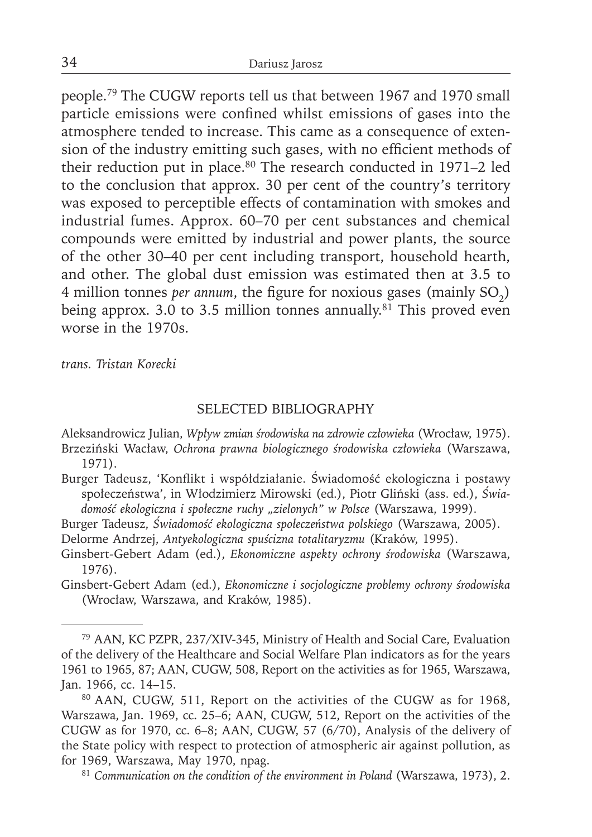people.79 The CUGW reports tell us that between 1967 and 1970 small particle emissions were confined whilst emissions of gases into the atmosphere tended to increase. This came as a consequence of extension of the industry emitting such gases, with no efficient methods of their reduction put in place.<sup>80</sup> The research conducted in 1971–2 led to the conclusion that approx. 30 per cent of the country's territory was exposed to perceptible effects of contamination with smokes and industrial fumes. Approx. 60–70 per cent substances and chemical compounds were emitted by industrial and power plants, the source of the other 30–40 per cent including transport, household hearth, and other. The global dust emission was estimated then at 3.5 to 4 million tonnes *per annum*, the figure for noxious gases (mainly SO<sub>2</sub>) being approx. 3.0 to 3.5 million tonnes annually.<sup>81</sup> This proved even worse in the 1970s.

*trans. Tristan Korecki*

## SELECTED BIBLIOGRAPHY

Aleksandrowicz Julian, *Wpływ zmian środowiska na zdrowie człowieka* (Wrocław, 1975). Brzeziński Wacław, *Ochrona prawna biologicznego środowiska człowieka* (Warszawa, 1971).

Burger Tadeusz, 'Konflikt i współdziałanie. Świadomość ekologiczna i postawy społeczeństwa', in Włodzimierz Mirowski (ed.), Piotr Gliński (ass. ed.), *Świadomość ekologiczna i społeczne ruchy "zielonych" w Polsce* (Warszawa, 1999).

Burger Tadeusz, *Świadomość ekologiczna społeczeństwa polskiego* (Warszawa, 2005).

Delorme Andrzej, *Antyekologiczna spuścizna totalitaryzmu* (Kraków, 1995).

Ginsbert-Gebert Adam (ed.), *Ekonomiczne aspekty ochrony środowiska* (Warszawa, 1976).

Ginsbert-Gebert Adam (ed.), *Ekonomiczne i socjologiczne problemy ochrony środowiska* (Wrocław, Warszawa, and Kraków, 1985).

80 AAN, CUGW, 511, Report on the activities of the CUGW as for 1968, Warszawa, Jan. 1969, cc. 25–6; AAN, CUGW, 512, Report on the activities of the CUGW as for 1970, cc. 6–8; AAN, CUGW, 57 (6/70), Analysis of the delivery of the State policy with respect to protection of atmospheric air against pollution, as for 1969, Warszawa, May 1970, npag.

81 *Communication on the condition of the environment in Poland* (Warszawa, 1973), 2.

<sup>79</sup> AAN, KC PZPR, 237/XIV-345, Ministry of Health and Social Care, Evaluation of the delivery of the Healthcare and Social Welfare Plan indicators as for the years 1961 to 1965, 87; AAN, CUGW, 508, Report on the activities as for 1965, Warszawa, Jan. 1966, cc. 14–15.